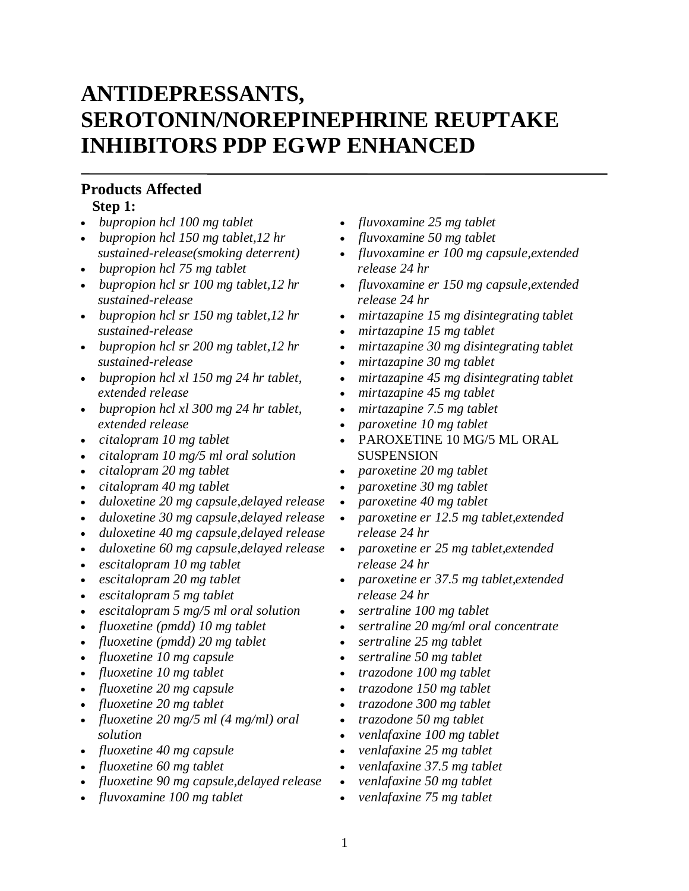# **ANTIDEPRESSANTS, SEROTONIN/NOREPINEPHRINE REUPTAKE INHIBITORS PDP EGWP ENHANCED**

#### **Products Affected Step 1:**

- *bupropion hcl 100 mg tablet*
- *bupropion hcl 150 mg tablet,12 hr sustained-release(smoking deterrent)*
- *bupropion hcl 75 mg tablet*
- *bupropion hcl sr 100 mg tablet,12 hr sustained-release*
- *bupropion hcl sr 150 mg tablet,12 hr sustained-release*
- *bupropion hcl sr 200 mg tablet,12 hr sustained-release*
- *bupropion hcl xl 150 mg 24 hr tablet, extended release*
- *bupropion hcl xl 300 mg 24 hr tablet, extended release*
- *citalopram 10 mg tablet*
- *citalopram 10 mg/5 ml oral solution*
- *citalopram 20 mg tablet*
- *citalopram 40 mg tablet*
- *duloxetine 20 mg capsule,delayed release*
- *duloxetine 30 mg capsule,delayed release*
- *duloxetine 40 mg capsule,delayed release*
- *duloxetine 60 mg capsule,delayed release*
- *escitalopram 10 mg tablet*
- *escitalopram 20 mg tablet*
- *escitalopram 5 mg tablet*
- *escitalopram 5 mg/5 ml oral solution*
- *fluoxetine (pmdd) 10 mg tablet*
- *fluoxetine (pmdd) 20 mg tablet*
- *fluoxetine 10 mg capsule*
- *fluoxetine 10 mg tablet*
- *fluoxetine 20 mg capsule*
- *fluoxetine 20 mg tablet*
- *fluoxetine 20 mg/5 ml (4 mg/ml) oral solution*
- *fluoxetine 40 mg capsule*
- *fluoxetine 60 mg tablet*
- *fluoxetine 90 mg capsule,delayed release*
- *fluvoxamine 100 mg tablet*
- *fluvoxamine 25 mg tablet*
- *fluvoxamine 50 mg tablet*
- *fluvoxamine er 100 mg capsule,extended release 24 hr*
- *fluvoxamine er 150 mg capsule,extended release 24 hr*
- *mirtazapine 15 mg disintegrating tablet*
- *mirtazapine 15 mg tablet*
- *mirtazapine 30 mg disintegrating tablet*
- *mirtazapine 30 mg tablet*
- *mirtazapine 45 mg disintegrating tablet*
- *mirtazapine 45 mg tablet*
- *mirtazapine 7.5 mg tablet*
- *paroxetine 10 mg tablet*
- PAROXETINE 10 MG/5 ML ORAL **SUSPENSION**
- *paroxetine 20 mg tablet*
- *paroxetine 30 mg tablet*
- *paroxetine 40 mg tablet*
- *paroxetine er 12.5 mg tablet,extended release 24 hr*
- *paroxetine er 25 mg tablet,extended release 24 hr*
- *paroxetine er 37.5 mg tablet,extended release 24 hr*
- *sertraline 100 mg tablet*
- *sertraline 20 mg/ml oral concentrate*
- *sertraline 25 mg tablet*
- *sertraline 50 mg tablet*
- *trazodone 100 mg tablet*
- *trazodone 150 mg tablet*
- *trazodone 300 mg tablet*
- *trazodone 50 mg tablet*
- *venlafaxine 100 mg tablet*
- *venlafaxine 25 mg tablet*
- *venlafaxine 37.5 mg tablet*
- *venlafaxine 50 mg tablet*
- *venlafaxine 75 mg tablet*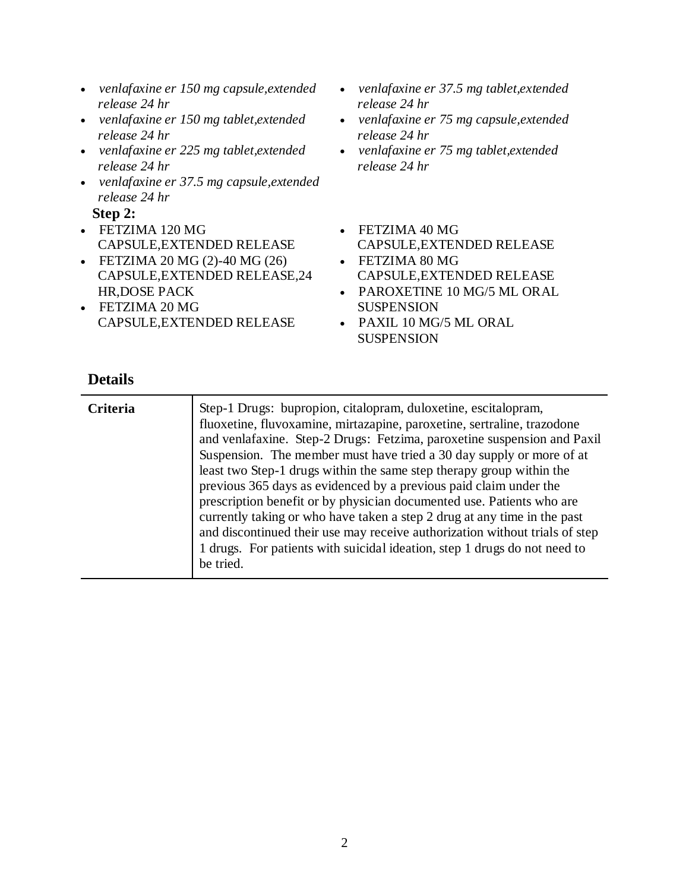- *venlafaxine er 150 mg capsule,extended release 24 hr*
- *venlafaxine er 150 mg tablet,extended release 24 hr*
- *venlafaxine er 225 mg tablet,extended release 24 hr*
- *venlafaxine er 37.5 mg capsule,extended release 24 hr*

**Step 2:**

- FETZIMA 120 MG CAPSULE,EXTENDED RELEASE
- FETZIMA 20 MG (2)-40 MG (26) CAPSULE,EXTENDED RELEASE,24 HR,DOSE PACK
- FETZIMA 20 MG CAPSULE,EXTENDED RELEASE
- *venlafaxine er 37.5 mg tablet,extended release 24 hr*
- *venlafaxine er 75 mg capsule,extended release 24 hr*
- *venlafaxine er 75 mg tablet,extended release 24 hr*
- FETZIMA 40 MG CAPSULE,EXTENDED RELEASE
- FETZIMA 80 MG CAPSULE,EXTENDED RELEASE
- PAROXETINE 10 MG/5 ML ORAL SUSPENSION
- PAXIL 10 MG/5 ML ORAL **SUSPENSION**

| <b>Criteria</b> | Step-1 Drugs: bupropion, citalopram, duloxetine, escitalopram,<br>fluoxetine, fluvoxamine, mirtazapine, paroxetine, sertraline, trazodone<br>and venlafaxine. Step-2 Drugs: Fetzima, paroxetine suspension and Paxil<br>Suspension. The member must have tried a 30 day supply or more of at<br>least two Step-1 drugs within the same step therapy group within the<br>previous 365 days as evidenced by a previous paid claim under the<br>prescription benefit or by physician documented use. Patients who are<br>currently taking or who have taken a step 2 drug at any time in the past<br>and discontinued their use may receive authorization without trials of step<br>1 drugs. For patients with suicidal ideation, step 1 drugs do not need to |
|-----------------|------------------------------------------------------------------------------------------------------------------------------------------------------------------------------------------------------------------------------------------------------------------------------------------------------------------------------------------------------------------------------------------------------------------------------------------------------------------------------------------------------------------------------------------------------------------------------------------------------------------------------------------------------------------------------------------------------------------------------------------------------------|
|                 | be tried.                                                                                                                                                                                                                                                                                                                                                                                                                                                                                                                                                                                                                                                                                                                                                  |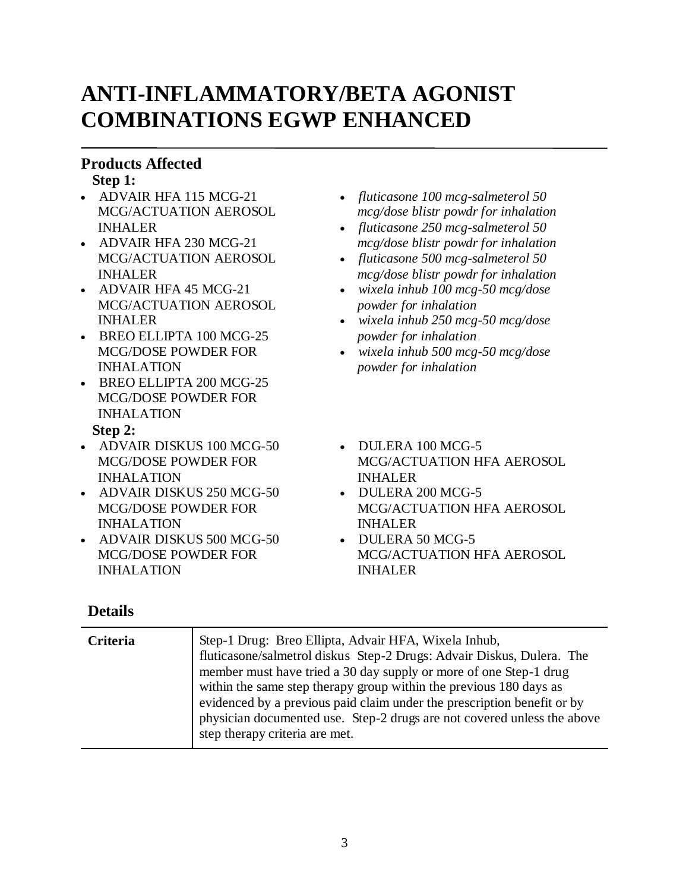# **ANTI-INFLAMMATORY/BETA AGONIST COMBINATIONS EGWP ENHANCED**

### **Products Affected**

**Step 1:**

- ADVAIR HFA 115 MCG-21 MCG/ACTUATION AEROSOL INHALER
- ADVAIR HFA 230 MCG-21 MCG/ACTUATION AEROSOL INHALER
- ADVAIR HFA 45 MCG-21 MCG/ACTUATION AEROSOL INHALER
- BREO ELLIPTA 100 MCG-25 MCG/DOSE POWDER FOR INHALATION
- BREO ELLIPTA 200 MCG-25 MCG/DOSE POWDER FOR INHALATION

#### **Step 2:**

- ADVAIR DISKUS 100 MCG-50 MCG/DOSE POWDER FOR INHALATION
- ADVAIR DISKUS 250 MCG-50 MCG/DOSE POWDER FOR INHALATION
- ADVAIR DISKUS 500 MCG-50 MCG/DOSE POWDER FOR INHALATION
- *fluticasone 100 mcg-salmeterol 50 mcg/dose blistr powdr for inhalation*
- *fluticasone 250 mcg-salmeterol 50 mcg/dose blistr powdr for inhalation*
- *fluticasone 500 mcg-salmeterol 50 mcg/dose blistr powdr for inhalation*
- *wixela inhub 100 mcg-50 mcg/dose powder for inhalation*
- *wixela inhub 250 mcg-50 mcg/dose powder for inhalation*
- *wixela inhub 500 mcg-50 mcg/dose powder for inhalation*
- $\bullet$  DULERA 100 MCG-5 MCG/ACTUATION HFA AEROSOL INHALER
- DULERA 200 MCG-5 MCG/ACTUATION HFA AEROSOL INHALER
- DULERA 50 MCG-5 MCG/ACTUATION HFA AEROSOL INHALER

| <b>Criteria</b> | Step-1 Drug: Breo Ellipta, Advair HFA, Wixela Inhub,<br>fluticasone/salmetrol diskus Step-2 Drugs: Advair Diskus, Dulera. The<br>member must have tried a 30 day supply or more of one Step-1 drug<br>within the same step therapy group within the previous 180 days as<br>evidenced by a previous paid claim under the prescription benefit or by<br>physician documented use. Step-2 drugs are not covered unless the above<br>step therapy criteria are met. |
|-----------------|------------------------------------------------------------------------------------------------------------------------------------------------------------------------------------------------------------------------------------------------------------------------------------------------------------------------------------------------------------------------------------------------------------------------------------------------------------------|
|                 |                                                                                                                                                                                                                                                                                                                                                                                                                                                                  |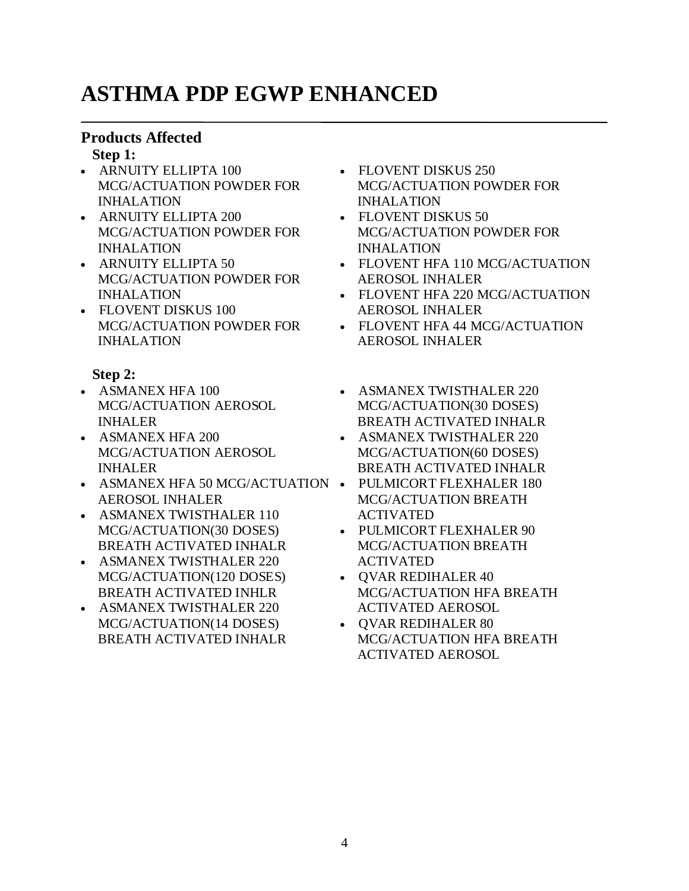# **ASTHMA PDP EGWP ENHANCED**

### **Products Affected**

#### **Step 1:**

- ARNUITY ELLIPTA 100 MCG/ACTUATION POWDER FOR INHALATION
- ARNUITY ELLIPTA 200 MCG/ACTUATION POWDER FOR INHALATION
- ARNUITY ELLIPTA 50 MCG/ACTUATION POWDER FOR INHALATION
- FLOVENT DISKUS 100 MCG/ACTUATION POWDER FOR INHALATION

### **Step 2:**

- ASMANEX HFA 100 MCG/ACTUATION AEROSOL INHALER
- ASMANEX HFA 200 MCG/ACTUATION AEROSOL INHALER
- ASMANEX HFA 50 MCG/ACTUATION PULMICORT FLEXHALER 180 AEROSOL INHALER
- ASMANEX TWISTHALER 110 MCG/ACTUATION(30 DOSES) BREATH ACTIVATED INHALR
- ASMANEX TWISTHALER 220 MCG/ACTUATION(120 DOSES) BREATH ACTIVATED INHLR
- ASMANEX TWISTHALER 220 MCG/ACTUATION(14 DOSES) BREATH ACTIVATED INHALR
- FLOVENT DISKUS 250 MCG/ACTUATION POWDER FOR INHALATION
- FLOVENT DISKUS 50 MCG/ACTUATION POWDER FOR INHALATION
- FLOVENT HFA 110 MCG/ACTUATION AEROSOL INHALER
- FLOVENT HFA 220 MCG/ACTUATION AEROSOL INHALER
- FLOVENT HFA 44 MCG/ACTUATION AEROSOL INHALER
- ASMANEX TWISTHALER 220 MCG/ACTUATION(30 DOSES) BREATH ACTIVATED INHALR
- ASMANEX TWISTHALER 220 MCG/ACTUATION(60 DOSES) BREATH ACTIVATED INHALR
- MCG/ACTUATION BREATH ACTIVATED
- PULMICORT FLEXHALER 90 MCG/ACTUATION BREATH ACTIVATED
- QVAR REDIHALER 40 MCG/ACTUATION HFA BREATH ACTIVATED AEROSOL
- OVAR REDIHALER 80 MCG/ACTUATION HFA BREATH ACTIVATED AEROSOL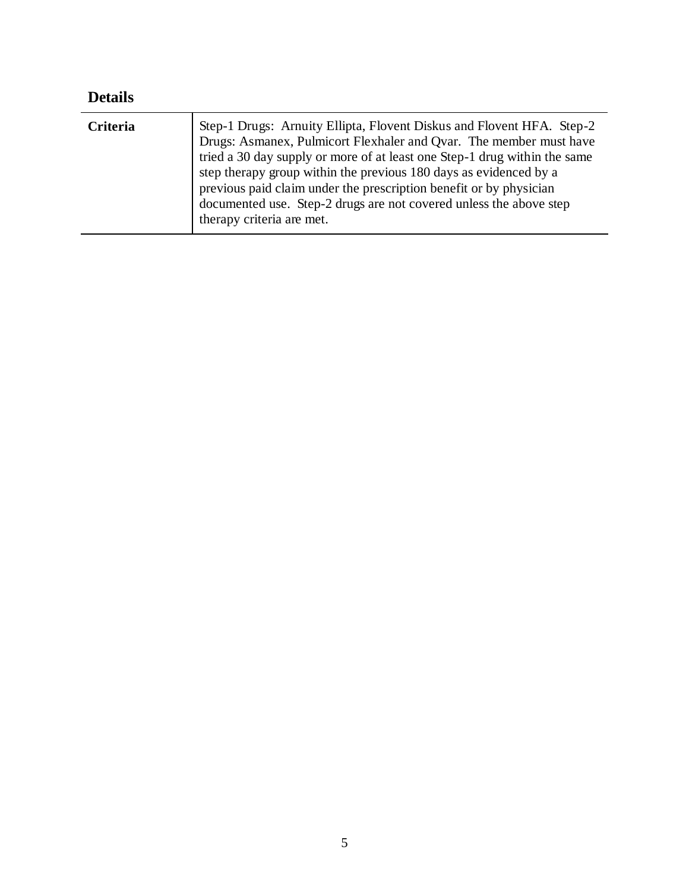| <b>Details</b> |                                                                                                                                                                                                                                                                                                                                                                                                                                                                        |
|----------------|------------------------------------------------------------------------------------------------------------------------------------------------------------------------------------------------------------------------------------------------------------------------------------------------------------------------------------------------------------------------------------------------------------------------------------------------------------------------|
| Criteria       | Step-1 Drugs: Arnuity Ellipta, Flovent Diskus and Flovent HFA. Step-2<br>Drugs: Asmanex, Pulmicort Flexhaler and Qvar. The member must have<br>tried a 30 day supply or more of at least one Step-1 drug within the same<br>step therapy group within the previous 180 days as evidenced by a<br>previous paid claim under the prescription benefit or by physician<br>documented use. Step-2 drugs are not covered unless the above step<br>therapy criteria are met. |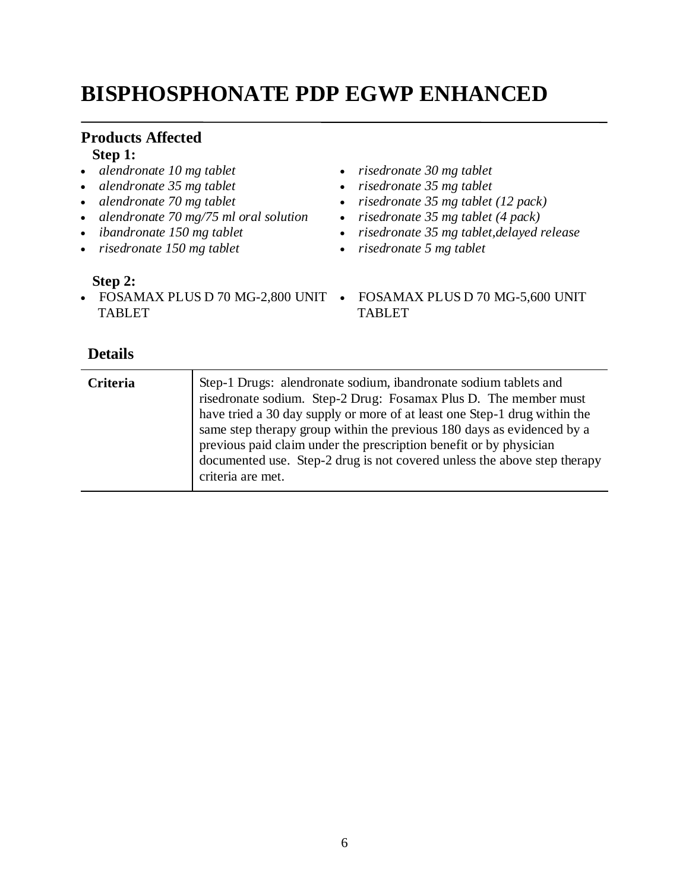# **BISPHOSPHONATE PDP EGWP ENHANCED**

### **Products Affected**

### **Step 1:**

- *alendronate 10 mg tablet*
- *alendronate 35 mg tablet*
- *alendronate 70 mg tablet*
- *alendronate 70 mg/75 ml oral solution*
- *ibandronate 150 mg tablet*
- *risedronate 150 mg tablet*

#### **Step 2:**

• FOSAMAX PLUS D 70 MG-2,800 UNIT • FOSAMAX PLUS D 70 MG-5,600 UNIT TABLET

- *risedronate 30 mg tablet*
- *risedronate 35 mg tablet*
- *risedronate 35 mg tablet (12 pack)*
- *risedronate 35 mg tablet (4 pack)*
- *risedronate 35 mg tablet,delayed release*
- *risedronate 5 mg tablet*
	- TABLET

| <b>Criteria</b> | Step-1 Drugs: alendronate sodium, ibandronate sodium tablets and<br>risedronate sodium. Step-2 Drug: Fosamax Plus D. The member must<br>have tried a 30 day supply or more of at least one Step-1 drug within the<br>same step therapy group within the previous 180 days as evidenced by a<br>previous paid claim under the prescription benefit or by physician<br>documented use. Step-2 drug is not covered unless the above step therapy<br>criteria are met. |
|-----------------|--------------------------------------------------------------------------------------------------------------------------------------------------------------------------------------------------------------------------------------------------------------------------------------------------------------------------------------------------------------------------------------------------------------------------------------------------------------------|
|-----------------|--------------------------------------------------------------------------------------------------------------------------------------------------------------------------------------------------------------------------------------------------------------------------------------------------------------------------------------------------------------------------------------------------------------------------------------------------------------------|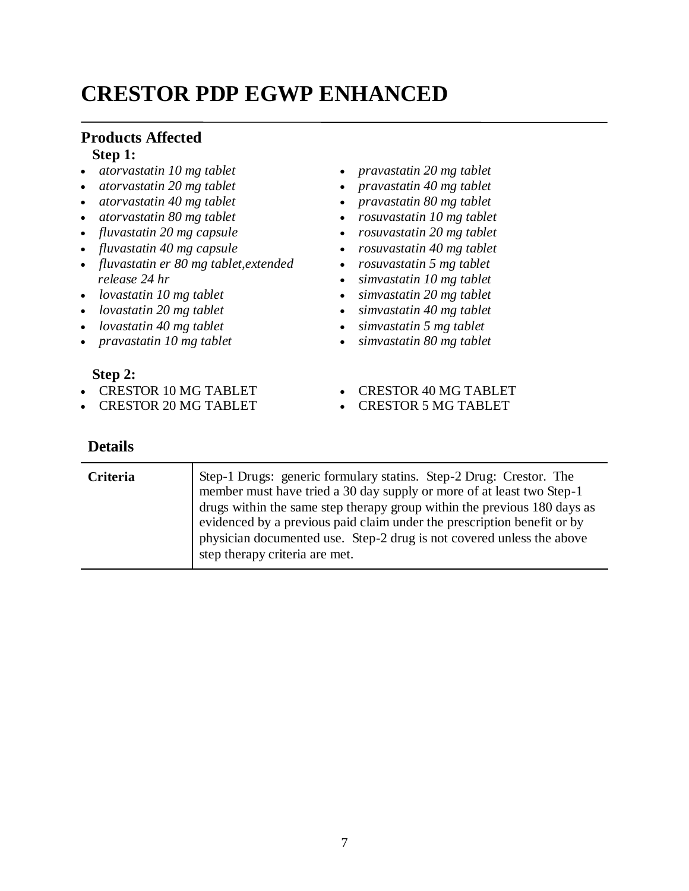# **CRESTOR PDP EGWP ENHANCED**

#### **Products Affected Step 1:**

- *atorvastatin 10 mg tablet*
- *atorvastatin 20 mg tablet*
- *atorvastatin 40 mg tablet*
- *atorvastatin 80 mg tablet*
- *fluvastatin 20 mg capsule*
- *fluvastatin 40 mg capsule*
- *fluvastatin er 80 mg tablet,extended release 24 hr*
- *lovastatin 10 mg tablet*
- *lovastatin 20 mg tablet*
- *lovastatin 40 mg tablet*
- *pravastatin 10 mg tablet*

#### **Step 2:**

- CRESTOR 10 MG TABLET
- CRESTOR 20 MG TABLET

- *pravastatin 20 mg tablet*
- *pravastatin 40 mg tablet*
- *pravastatin 80 mg tablet*
- *rosuvastatin 10 mg tablet*
- *rosuvastatin 20 mg tablet*
- *rosuvastatin 40 mg tablet*
- *rosuvastatin 5 mg tablet*
- *simvastatin 10 mg tablet*
- *simvastatin 20 mg tablet*
- *simvastatin 40 mg tablet*
- *simvastatin 5 mg tablet*
- *simvastatin 80 mg tablet*
- CRESTOR 40 MG TABLET
- CRESTOR 5 MG TABLET

| <b>Criteria</b> | Step-1 Drugs: generic formulary statins. Step-2 Drug: Crestor. The<br>member must have tried a 30 day supply or more of at least two Step-1<br>drugs within the same step therapy group within the previous 180 days as<br>evidenced by a previous paid claim under the prescription benefit or by<br>physician documented use. Step-2 drug is not covered unless the above |
|-----------------|-----------------------------------------------------------------------------------------------------------------------------------------------------------------------------------------------------------------------------------------------------------------------------------------------------------------------------------------------------------------------------|
|                 | step therapy criteria are met.                                                                                                                                                                                                                                                                                                                                              |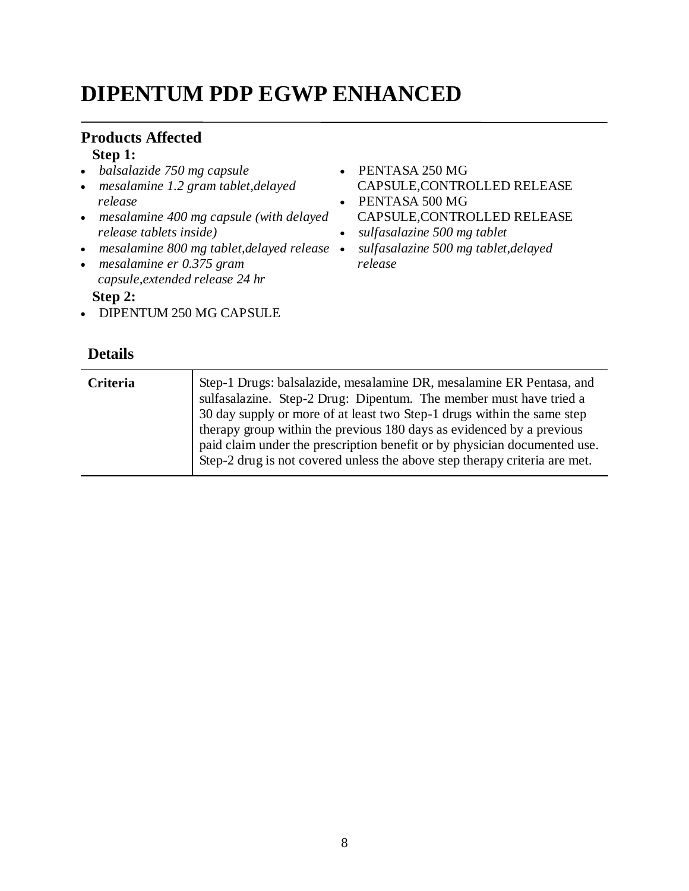# **DIPENTUM PDP EGWP ENHANCED**

#### **Products Affected Step 1:**

- *balsalazide 750 mg capsule*
- *mesalamine 1.2 gram tablet,delayed release*
- *mesalamine 400 mg capsule (with delayed release tablets inside)*
- *mesalamine 800 mg tablet,delayed release*
- *mesalamine er 0.375 gram capsule,extended release 24 hr*

**Step 2:**

• DIPENTUM 250 MG CAPSULE

- PENTASA 250 MG CAPSULE,CONTROLLED RELEASE
- PENTASA 500 MG CAPSULE,CONTROLLED RELEASE
- *sulfasalazine 500 mg tablet*
- *sulfasalazine 500 mg tablet,delayed release*

| <b>Criteria</b> | Step-1 Drugs: balsalazide, mesalamine DR, mesalamine ER Pentasa, and<br>sulfasalazine. Step-2 Drug: Dipentum. The member must have tried a<br>30 day supply or more of at least two Step-1 drugs within the same step<br>therapy group within the previous 180 days as evidenced by a previous<br>paid claim under the prescription benefit or by physician documented use.<br>Step-2 drug is not covered unless the above step therapy criteria are met. |
|-----------------|-----------------------------------------------------------------------------------------------------------------------------------------------------------------------------------------------------------------------------------------------------------------------------------------------------------------------------------------------------------------------------------------------------------------------------------------------------------|
|                 |                                                                                                                                                                                                                                                                                                                                                                                                                                                           |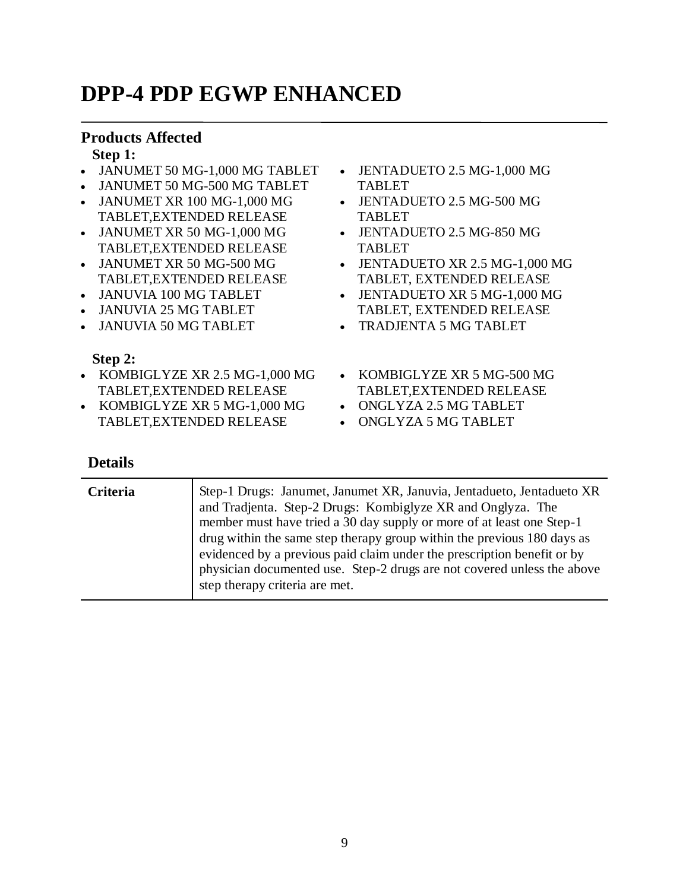# **DPP-4 PDP EGWP ENHANCED**

### **Products Affected**

#### **Step 1:**

- JANUMET 50 MG-1,000 MG TABLET
- JANUMET 50 MG-500 MG TABLET
- JANUMET XR 100 MG-1,000 MG TABLET,EXTENDED RELEASE
- JANUMET XR 50 MG-1,000 MG TABLET,EXTENDED RELEASE
- JANUMET XR 50 MG-500 MG TABLET,EXTENDED RELEASE
- JANUVIA 100 MG TABLET
- JANUVIA 25 MG TABLET
- JANUVIA 50 MG TABLET

#### **Step 2:**

- KOMBIGLYZE XR 2.5 MG-1,000 MG TABLET,EXTENDED RELEASE
- KOMBIGLYZE XR 5 MG-1,000 MG TABLET,EXTENDED RELEASE
- JENTADUETO 2.5 MG-1,000 MG TABLET
- JENTADUETO 2.5 MG-500 MG TABLET
- JENTADUETO 2.5 MG-850 MG TABLET
- JENTADUETO XR 2.5 MG-1,000 MG TABLET, EXTENDED RELEASE
- JENTADUETO XR 5 MG-1,000 MG TABLET, EXTENDED RELEASE
- TRADJENTA 5 MG TABLET
- KOMBIGLYZE XR 5 MG-500 MG TABLET,EXTENDED RELEASE
- ONGLYZA 2.5 MG TABLET
- ONGLYZA 5 MG TABLET

| <b>Criteria</b> | Step-1 Drugs: Janumet, Janumet XR, Januvia, Jentadueto, Jentadueto XR<br>and Tradjenta. Step-2 Drugs: Kombiglyze XR and Onglyza. The<br>member must have tried a 30 day supply or more of at least one Step-1<br>drug within the same step therapy group within the previous 180 days as<br>evidenced by a previous paid claim under the prescription benefit or by<br>physician documented use. Step-2 drugs are not covered unless the above<br>step therapy criteria are met. |
|-----------------|----------------------------------------------------------------------------------------------------------------------------------------------------------------------------------------------------------------------------------------------------------------------------------------------------------------------------------------------------------------------------------------------------------------------------------------------------------------------------------|
|                 |                                                                                                                                                                                                                                                                                                                                                                                                                                                                                  |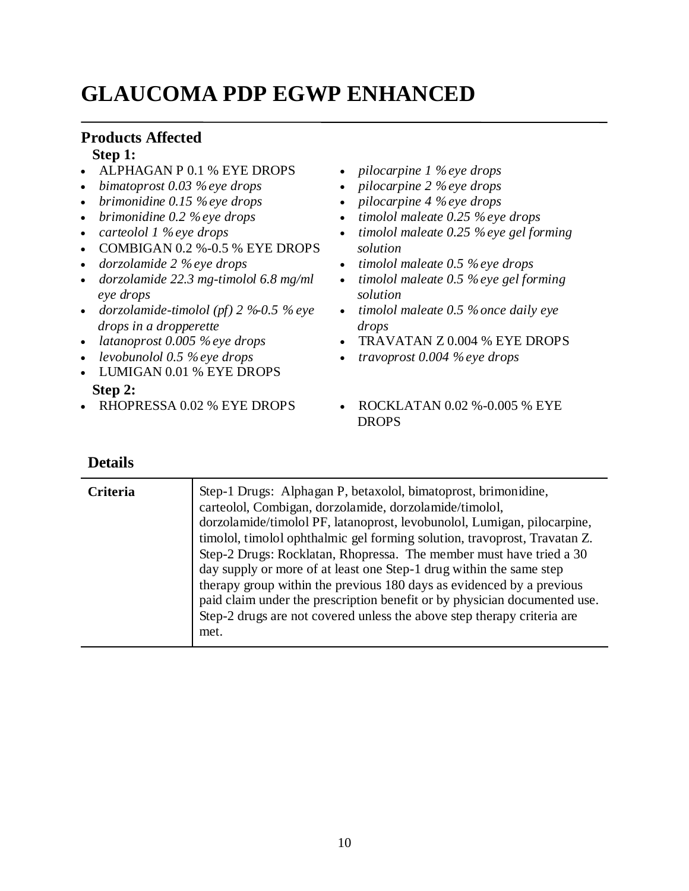# **GLAUCOMA PDP EGWP ENHANCED**

### **Products Affected**

#### **Step 1:**

- ALPHAGAN P 0.1 % EYE DROPS
- *bimatoprost 0.03 % eye drops*
- *brimonidine 0.15 % eye drops*
- *brimonidine 0.2 % eye drops*
- *carteolol 1 % eye drops*
- $\bullet$  COMBIGAN 0.2 %-0.5 % EYE DROPS
- *dorzolamide 2 % eye drops*
- *dorzolamide 22.3 mg-timolol 6.8 mg/ml eye drops*
- *dorzolamide-timolol (pf) 2 %-0.5 % eye drops in a dropperette*
- *latanoprost 0.005 % eye drops*
- *levobunolol 0.5 % eye drops*
- LUMIGAN 0.01 % EYE DROPS **Step 2:**
- 
- *pilocarpine 1 % eye drops*
- *pilocarpine 2 % eye drops*
- *pilocarpine 4 % eye drops*
- *timolol maleate 0.25 % eye drops*
- *timolol maleate 0.25 % eye gel forming solution*
- *timolol maleate 0.5 % eye drops*
- *timolol maleate 0.5 % eye gel forming solution*
- *timolol maleate 0.5 % once daily eye drops*
- TRAVATAN Z 0.004 % EYE DROPS
- *travoprost 0.004 % eye drops*
- RHOPRESSA 0.02 % EYE DROPS ROCKLATAN 0.02 %-0.005 % EYE DROPS

| <b>Criteria</b> | Step-1 Drugs: Alphagan P, betaxolol, bimatoprost, brimonidine,<br>carteolol, Combigan, dorzolamide, dorzolamide/timolol,<br>dorzolamide/timolol PF, latanoprost, levobunolol, Lumigan, pilocarpine,<br>timolol, timolol ophthalmic gel forming solution, travoprost, Travatan Z.<br>Step-2 Drugs: Rocklatan, Rhopressa. The member must have tried a 30<br>day supply or more of at least one Step-1 drug within the same step<br>therapy group within the previous 180 days as evidenced by a previous |
|-----------------|---------------------------------------------------------------------------------------------------------------------------------------------------------------------------------------------------------------------------------------------------------------------------------------------------------------------------------------------------------------------------------------------------------------------------------------------------------------------------------------------------------|
|                 | paid claim under the prescription benefit or by physician documented use.<br>Step-2 drugs are not covered unless the above step therapy criteria are<br>met.                                                                                                                                                                                                                                                                                                                                            |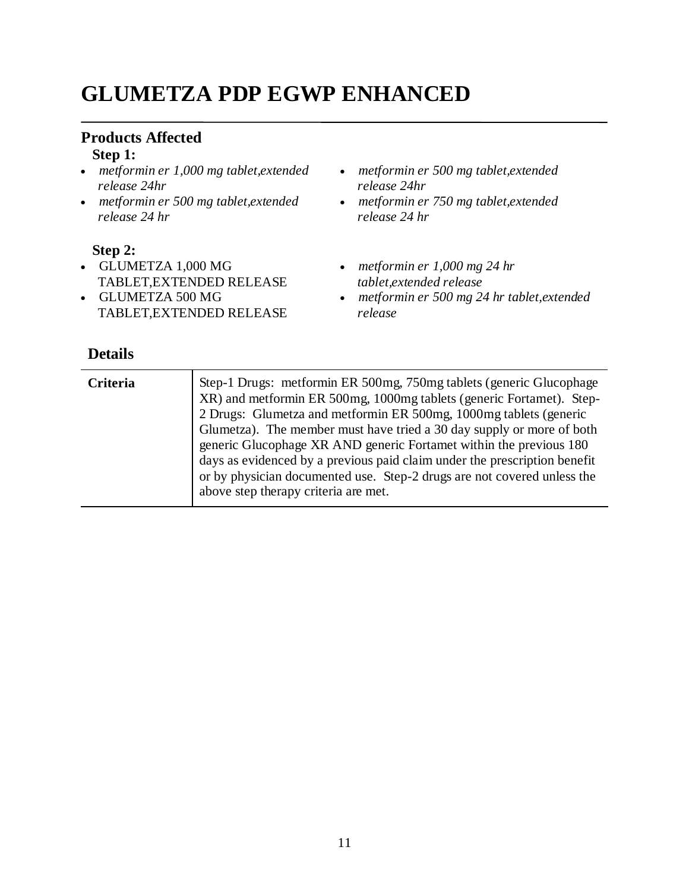# **GLUMETZA PDP EGWP ENHANCED**

#### **Products Affected Step 1:**

#### *metformin er 1,000 mg tablet,extended release 24hr*

 *metformin er 500 mg tablet,extended release 24 hr*

#### **Step 2:**

- GLUMETZA 1,000 MG TABLET,EXTENDED RELEASE
- GLUMETZA 500 MG TABLET,EXTENDED RELEASE

- *metformin er 500 mg tablet,extended release 24hr*
- *metformin er 750 mg tablet,extended release 24 hr*
- *metformin er 1,000 mg 24 hr tablet,extended release*
- *metformin er 500 mg 24 hr tablet,extended release*

| <b>Criteria</b> | Step-1 Drugs: metformin ER 500mg, 750mg tablets (generic Glucophage)<br>XR) and metformin ER 500mg, 1000mg tablets (generic Fortamet). Step-<br>2 Drugs: Glumetza and metformin ER 500mg, 1000mg tablets (generic<br>Glumetza). The member must have tried a 30 day supply or more of both<br>generic Glucophage XR AND generic Fortamet within the previous 180<br>days as evidenced by a previous paid claim under the prescription benefit<br>or by physician documented use. Step-2 drugs are not covered unless the |
|-----------------|--------------------------------------------------------------------------------------------------------------------------------------------------------------------------------------------------------------------------------------------------------------------------------------------------------------------------------------------------------------------------------------------------------------------------------------------------------------------------------------------------------------------------|
|                 | above step therapy criteria are met.                                                                                                                                                                                                                                                                                                                                                                                                                                                                                     |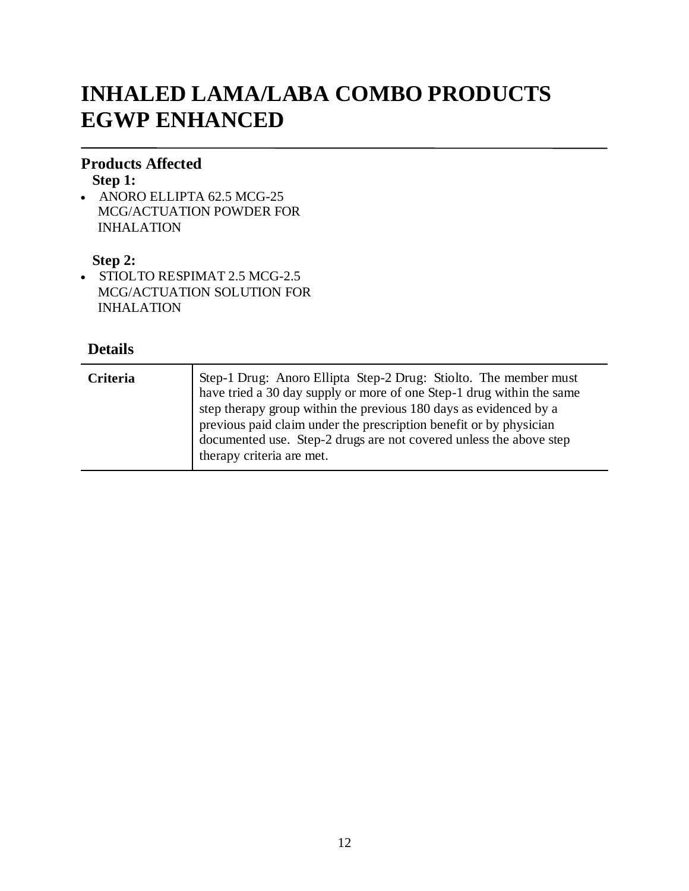# **INHALED LAMA/LABA COMBO PRODUCTS EGWP ENHANCED**

### **Products Affected**

**Step 1:**

• ANORO ELLIPTA 62.5 MCG-25 MCG/ACTUATION POWDER FOR INHALATION

#### **Step 2:**

• STIOLTO RESPIMAT 2.5 MCG-2.5 MCG/ACTUATION SOLUTION FOR INHALATION

| Criteria | Step-1 Drug: Anoro Ellipta Step-2 Drug: Stiolto. The member must<br>have tried a 30 day supply or more of one Step-1 drug within the same<br>step therapy group within the previous 180 days as evidenced by a<br>previous paid claim under the prescription benefit or by physician<br>documented use. Step-2 drugs are not covered unless the above step<br>therapy criteria are met. |
|----------|-----------------------------------------------------------------------------------------------------------------------------------------------------------------------------------------------------------------------------------------------------------------------------------------------------------------------------------------------------------------------------------------|
|----------|-----------------------------------------------------------------------------------------------------------------------------------------------------------------------------------------------------------------------------------------------------------------------------------------------------------------------------------------------------------------------------------------|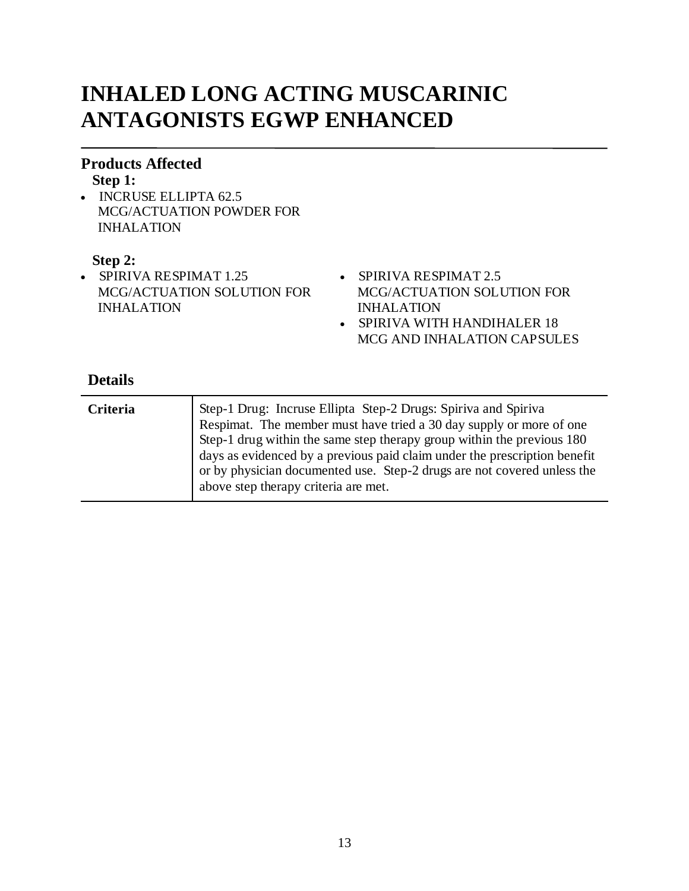# **INHALED LONG ACTING MUSCARINIC ANTAGONISTS EGWP ENHANCED**

#### **Products Affected**

#### **Step 1:**

• INCRUSE ELLIPTA 62.5 MCG/ACTUATION POWDER FOR INHALATION

#### **Step 2:**

- SPIRIVA RESPIMAT 1.25 MCG/ACTUATION SOLUTION FOR INHALATION
- SPIRIVA RESPIMAT 2.5 MCG/ACTUATION SOLUTION FOR INHALATION
- SPIRIVA WITH HANDIHALER 18 MCG AND INHALATION CAPSULES

| Criteria | Step-1 Drug: Incruse Ellipta Step-2 Drugs: Spiriva and Spiriva<br>Respimat. The member must have tried a 30 day supply or more of one<br>Step-1 drug within the same step therapy group within the previous 180<br>days as evidenced by a previous paid claim under the prescription benefit<br>or by physician documented use. Step-2 drugs are not covered unless the<br>above step therapy criteria are met. |
|----------|-----------------------------------------------------------------------------------------------------------------------------------------------------------------------------------------------------------------------------------------------------------------------------------------------------------------------------------------------------------------------------------------------------------------|
|          |                                                                                                                                                                                                                                                                                                                                                                                                                 |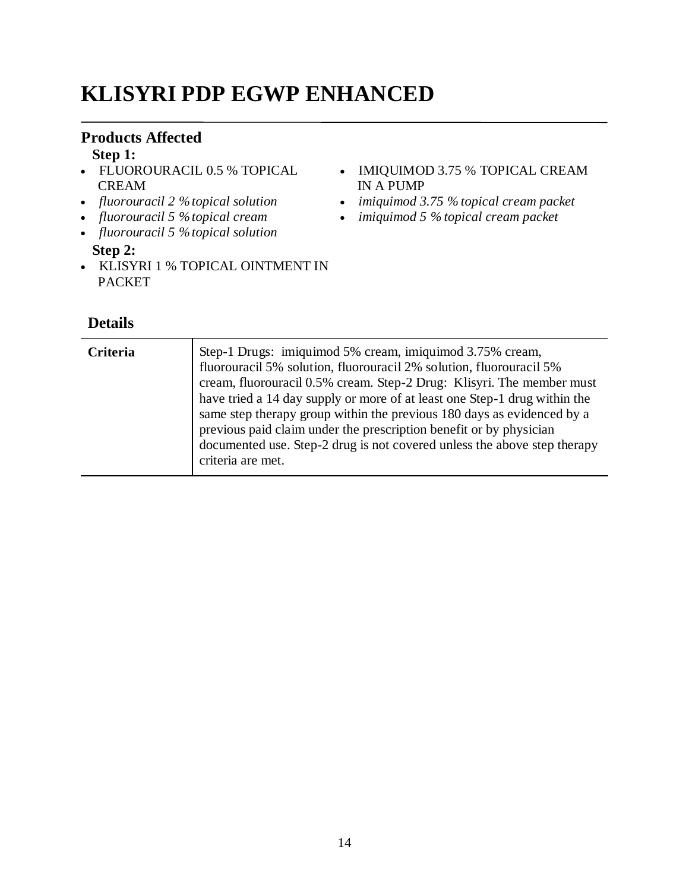# **KLISYRI PDP EGWP ENHANCED**

### **Products Affected**

**Step 1:**

- FLUOROURACIL 0.5 % TOPICAL CREAM
- *fluorouracil 2 % topical solution*
- *fluorouracil 5 % topical cream*
- *fluorouracil 5 % topical solution* **Step 2:**
- KLISYRI 1 % TOPICAL OINTMENT IN PACKET
- **Details**
- IMIQUIMOD 3.75 % TOPICAL CREAM IN A PUMP
- *imiquimod 3.75 % topical cream packet*
- *imiquimod 5 % topical cream packet*

**Criteria** Step-1 Drugs: imiquimod 5% cream, imiquimod 3.75% cream, fluorouracil 5% solution, fluorouracil 2% solution, fluorouracil 5% cream, fluorouracil 0.5% cream. Step-2 Drug: Klisyri. The member must have tried a 14 day supply or more of at least one Step-1 drug within the same step therapy group within the previous 180 days as evidenced by a previous paid claim under the prescription benefit or by physician documented use. Step-2 drug is not covered unless the above step therapy criteria are met.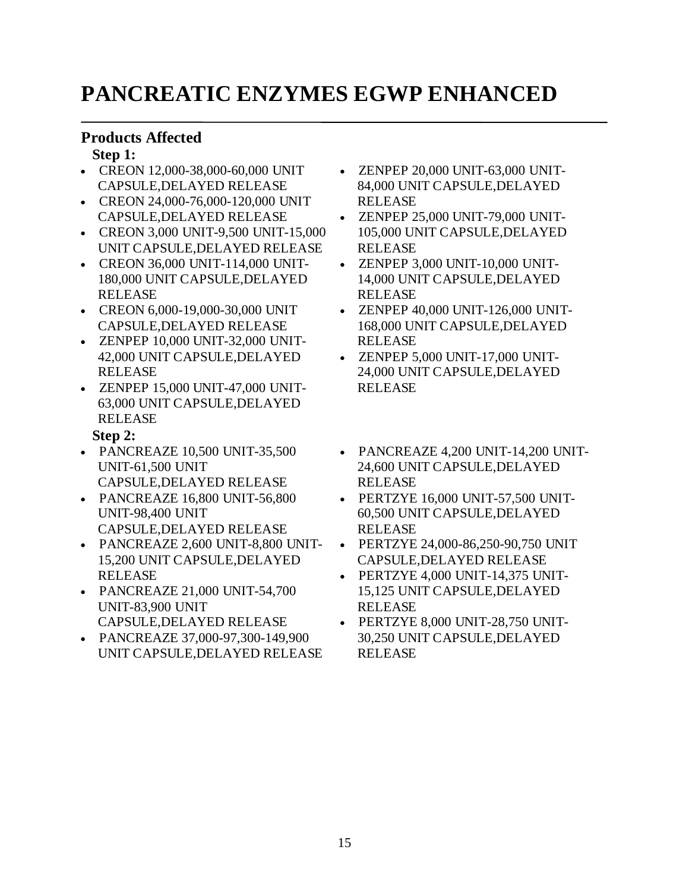# **PANCREATIC ENZYMES EGWP ENHANCED**

### **Products Affected**

#### **Step 1:**

- CREON 12,000-38,000-60,000 UNIT CAPSULE,DELAYED RELEASE
- CREON 24,000-76,000-120,000 UNIT CAPSULE,DELAYED RELEASE
- CREON 3,000 UNIT-9,500 UNIT-15,000 UNIT CAPSULE,DELAYED RELEASE
- CREON 36,000 UNIT-114,000 UNIT-180,000 UNIT CAPSULE,DELAYED RELEASE
- CREON 6,000-19,000-30,000 UNIT CAPSULE,DELAYED RELEASE
- ZENPEP 10,000 UNIT-32,000 UNIT-42,000 UNIT CAPSULE,DELAYED RELEASE
- ZENPEP 15,000 UNIT-47,000 UNIT-63,000 UNIT CAPSULE,DELAYED RELEASE

### **Step 2:**

- PANCREAZE 10,500 UNIT-35,500 UNIT-61,500 UNIT CAPSULE,DELAYED RELEASE
- PANCREAZE 16,800 UNIT-56,800 UNIT-98,400 UNIT CAPSULE,DELAYED RELEASE
- PANCREAZE 2,600 UNIT-8,800 UNIT-15,200 UNIT CAPSULE,DELAYED RELEASE
- PANCREAZE 21,000 UNIT-54,700 UNIT-83,900 UNIT CAPSULE,DELAYED RELEASE
- PANCREAZE 37,000-97,300-149,900 UNIT CAPSULE,DELAYED RELEASE
- ZENPEP 20,000 UNIT-63,000 UNIT-84,000 UNIT CAPSULE,DELAYED RELEASE
- ZENPEP 25,000 UNIT-79,000 UNIT-105,000 UNIT CAPSULE,DELAYED RELEASE
- ZENPEP 3,000 UNIT-10,000 UNIT-14,000 UNIT CAPSULE,DELAYED RELEASE
- ZENPEP 40,000 UNIT-126,000 UNIT-168,000 UNIT CAPSULE,DELAYED RELEASE
- ZENPEP 5,000 UNIT-17,000 UNIT-24,000 UNIT CAPSULE,DELAYED RELEASE
- PANCREAZE 4,200 UNIT-14,200 UNIT-24,600 UNIT CAPSULE,DELAYED RELEASE
- PERTZYE 16,000 UNIT-57,500 UNIT-60,500 UNIT CAPSULE,DELAYED RELEASE
- PERTZYE 24,000-86,250-90,750 UNIT CAPSULE,DELAYED RELEASE
- PERTZYE 4,000 UNIT-14,375 UNIT-15,125 UNIT CAPSULE,DELAYED RELEASE
- PERTZYE 8,000 UNIT-28,750 UNIT-30,250 UNIT CAPSULE,DELAYED RELEASE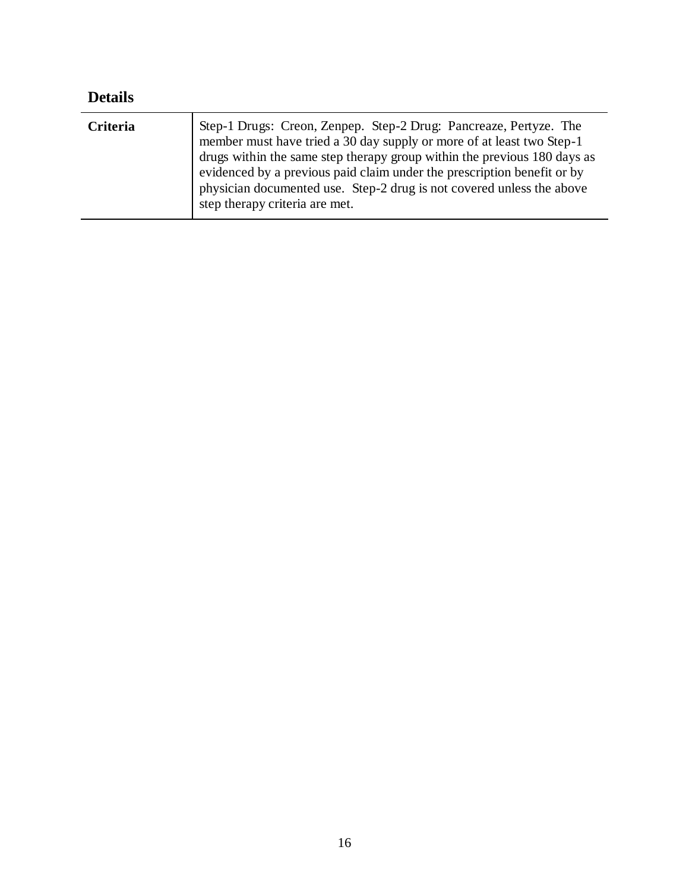| <b>Details</b> |                                                                                                                                                                                                                                                                                                                                                                                                           |
|----------------|-----------------------------------------------------------------------------------------------------------------------------------------------------------------------------------------------------------------------------------------------------------------------------------------------------------------------------------------------------------------------------------------------------------|
| Criteria       | Step-1 Drugs: Creon, Zenpep. Step-2 Drug: Pancreaze, Pertyze. The member must have tried a 30 day supply or more of at least two Step-1<br>drugs within the same step therapy group within the previous 180 days as<br>evidenced by a previous paid claim under the prescription benefit or by<br>physician documented use. Step-2 drug is not covered unless the above<br>step therapy criteria are met. |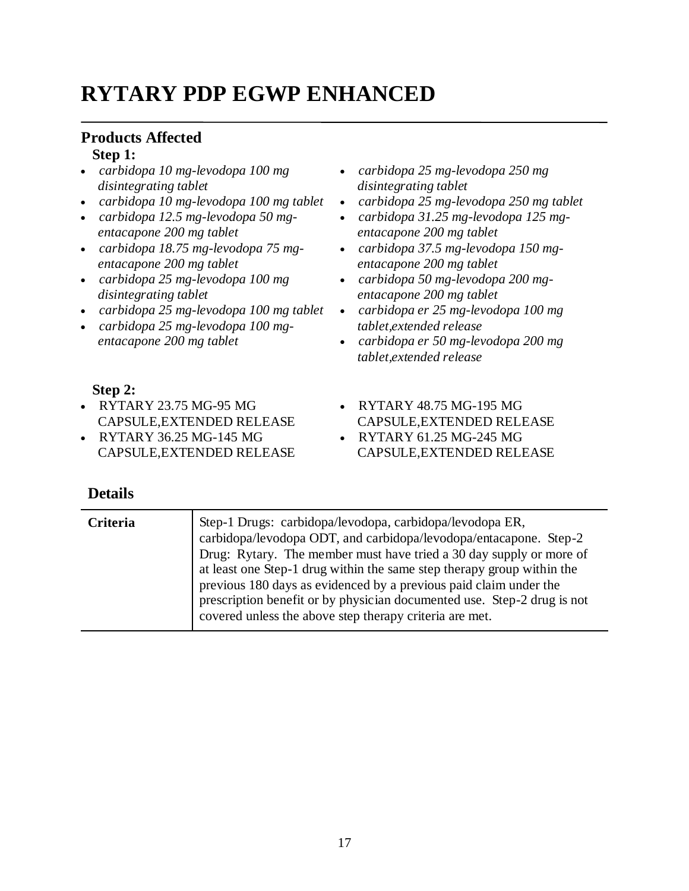# **RYTARY PDP EGWP ENHANCED**

# **Products Affected**

### **Step 1:**

- *carbidopa 10 mg-levodopa 100 mg disintegrating tablet*
- *carbidopa 10 mg-levodopa 100 mg tablet*
- *carbidopa 12.5 mg-levodopa 50 mgentacapone 200 mg tablet*
- *carbidopa 18.75 mg-levodopa 75 mgentacapone 200 mg tablet*
- *carbidopa 25 mg-levodopa 100 mg disintegrating tablet*
- *carbidopa 25 mg-levodopa 100 mg tablet*
- *carbidopa 25 mg-levodopa 100 mgentacapone 200 mg tablet*
- *carbidopa 25 mg-levodopa 250 mg disintegrating tablet*
- *carbidopa 25 mg-levodopa 250 mg tablet*
- *carbidopa 31.25 mg-levodopa 125 mgentacapone 200 mg tablet*
- *carbidopa 37.5 mg-levodopa 150 mgentacapone 200 mg tablet*
- *carbidopa 50 mg-levodopa 200 mgentacapone 200 mg tablet*
- *carbidopa er 25 mg-levodopa 100 mg tablet,extended release*
- *carbidopa er 50 mg-levodopa 200 mg tablet,extended release*

CAPSULE,EXTENDED RELEASE

CAPSULE,EXTENDED RELEASE

RYTARY 48.75 MG-195 MG

RYTARY 61.25 MG-245 MG

#### **Step 2:**

- RYTARY 23.75 MG-95 MG CAPSULE,EXTENDED RELEASE
- RYTARY 36.25 MG-145 MG CAPSULE,EXTENDED RELEASE

| <b>Details</b> |                                                                                                                                                                                                                                                                                                                                                                                                                                                                                           |
|----------------|-------------------------------------------------------------------------------------------------------------------------------------------------------------------------------------------------------------------------------------------------------------------------------------------------------------------------------------------------------------------------------------------------------------------------------------------------------------------------------------------|
| Criteria       | Step-1 Drugs: carbidopa/levodopa, carbidopa/levodopa ER,<br>carbidopa/levodopa ODT, and carbidopa/levodopa/entacapone. Step-2<br>Drug: Rytary. The member must have tried a 30 day supply or more of<br>at least one Step-1 drug within the same step therapy group within the<br>previous 180 days as evidenced by a previous paid claim under the<br>prescription benefit or by physician documented use. Step-2 drug is not<br>covered unless the above step therapy criteria are met. |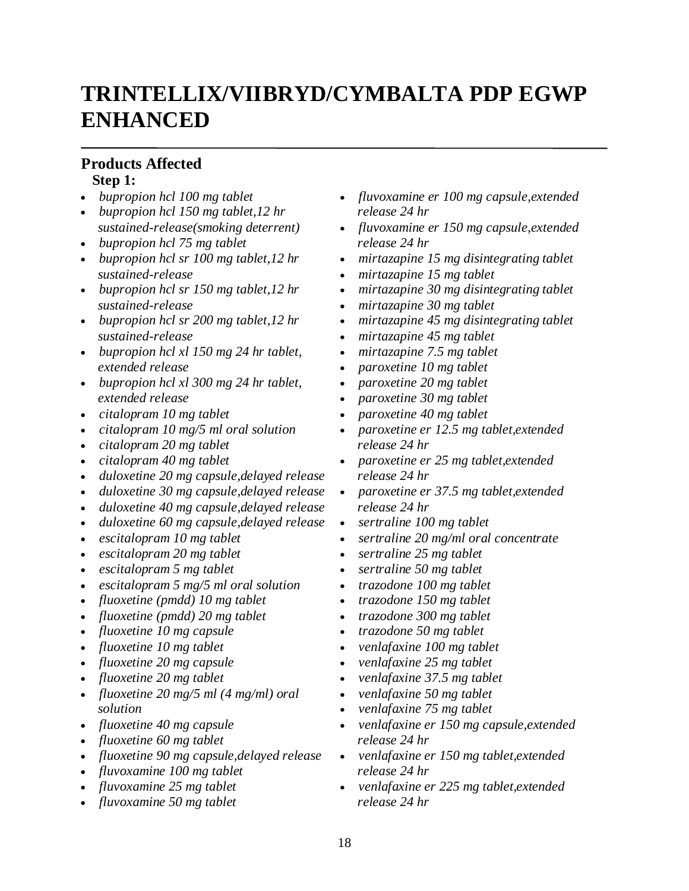# **TRINTELLIX/VIIBRYD/CYMBALTA PDP EGWP ENHANCED**

### **Products Affected**

#### **Step 1:**

- *bupropion hcl 100 mg tablet*
- *bupropion hcl 150 mg tablet,12 hr sustained-release(smoking deterrent)*
- *bupropion hcl 75 mg tablet*
- *bupropion hcl sr 100 mg tablet,12 hr sustained-release*
- *bupropion hcl sr 150 mg tablet,12 hr sustained-release*
- *bupropion hcl sr 200 mg tablet,12 hr sustained-release*
- *bupropion hcl xl 150 mg 24 hr tablet, extended release*
- *bupropion hcl xl 300 mg 24 hr tablet, extended release*
- *citalopram 10 mg tablet*
- *citalopram 10 mg/5 ml oral solution*
- *citalopram 20 mg tablet*
- *citalopram 40 mg tablet*
- *duloxetine 20 mg capsule,delayed release*
- *duloxetine 30 mg capsule,delayed release*
- *duloxetine 40 mg capsule,delayed release*
- *duloxetine 60 mg capsule,delayed release*
- *escitalopram 10 mg tablet*
- *escitalopram 20 mg tablet*
- *escitalopram 5 mg tablet*
- *escitalopram 5 mg/5 ml oral solution*
- *fluoxetine (pmdd) 10 mg tablet*
- *fluoxetine (pmdd) 20 mg tablet*
- *fluoxetine 10 mg capsule*
- *fluoxetine 10 mg tablet*
- *fluoxetine 20 mg capsule*
- *fluoxetine 20 mg tablet*
- *fluoxetine 20 mg/5 ml (4 mg/ml) oral solution*
- *fluoxetine 40 mg capsule*
- *fluoxetine 60 mg tablet*
- *fluoxetine 90 mg capsule,delayed release*
- *fluvoxamine 100 mg tablet*
- *fluvoxamine 25 mg tablet*
- *fluvoxamine 50 mg tablet*
- *fluvoxamine er 100 mg capsule,extended release 24 hr*
- *fluvoxamine er 150 mg capsule,extended release 24 hr*
- *mirtazapine 15 mg disintegrating tablet*
- *mirtazapine 15 mg tablet*
- *mirtazapine 30 mg disintegrating tablet*
- *mirtazapine 30 mg tablet*
- *mirtazapine 45 mg disintegrating tablet*
- *mirtazapine 45 mg tablet*
- *mirtazapine 7.5 mg tablet*
- *paroxetine 10 mg tablet*
- *paroxetine 20 mg tablet*
- *paroxetine 30 mg tablet*
- *paroxetine 40 mg tablet*
- *paroxetine er 12.5 mg tablet,extended release 24 hr*
- *paroxetine er 25 mg tablet,extended release 24 hr*
- *paroxetine er 37.5 mg tablet,extended release 24 hr*
- *sertraline 100 mg tablet*
- *sertraline 20 mg/ml oral concentrate*
- *sertraline 25 mg tablet*
- *sertraline 50 mg tablet*
- *trazodone 100 mg tablet*
- *trazodone 150 mg tablet*
- *trazodone 300 mg tablet*
- *trazodone 50 mg tablet*
- *venlafaxine 100 mg tablet*
- *venlafaxine 25 mg tablet*
- *venlafaxine 37.5 mg tablet*
- *venlafaxine 50 mg tablet*
- *venlafaxine 75 mg tablet*
- *venlafaxine er 150 mg capsule,extended release 24 hr*
- *venlafaxine er 150 mg tablet,extended release 24 hr*
- *venlafaxine er 225 mg tablet,extended release 24 hr*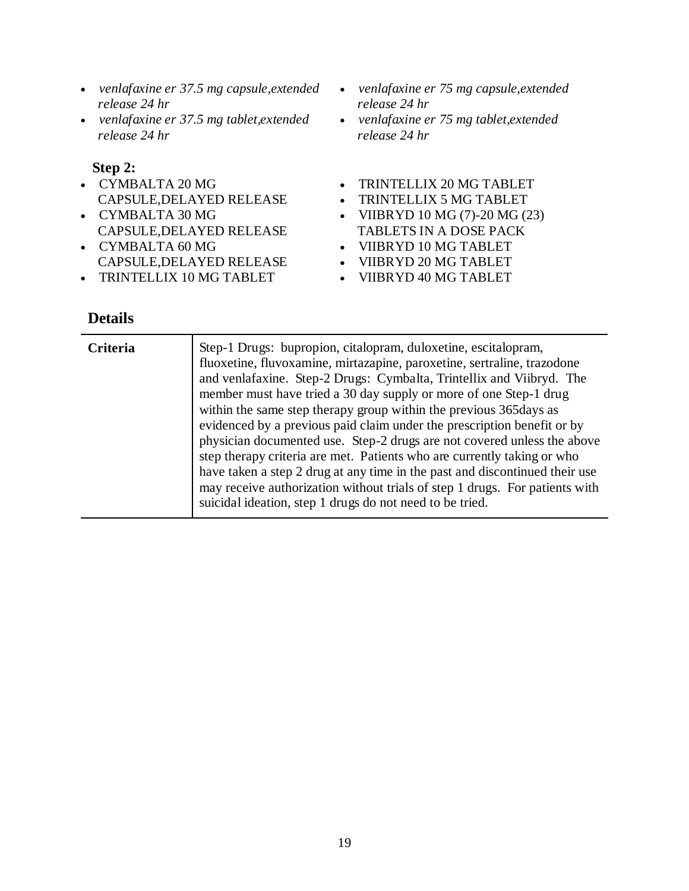- *venlafaxine er 37.5 mg capsule,extended release 24 hr*
- *venlafaxine er 37.5 mg tablet,extended release 24 hr*

#### **Step 2:**

- CYMBALTA 20 MG CAPSULE,DELAYED RELEASE
- CYMBALTA 30 MG CAPSULE,DELAYED RELEASE
- CYMBALTA 60 MG CAPSULE,DELAYED RELEASE
- TRINTELLIX 10 MG TABLET
- *venlafaxine er 75 mg capsule,extended release 24 hr*
- *venlafaxine er 75 mg tablet,extended release 24 hr*
- TRINTELLIX 20 MG TABLET
- TRINTELLIX 5 MG TABLET
- VIIBRYD 10 MG  $(7)$ -20 MG  $(23)$
- TABLETS IN A DOSE PACK
- VIIBRYD 10 MG TABLET
- VIIBRYD 20 MG TABLET
- VIIBRYD 40 MG TABLET

| <b>Criteria</b> | Step-1 Drugs: bupropion, citalopram, duloxetine, escitalopram,<br>fluoxetine, fluvoxamine, mirtazapine, paroxetine, sertraline, trazodone<br>and venlafaxine. Step-2 Drugs: Cymbalta, Trintellix and Viibryd. The<br>member must have tried a 30 day supply or more of one Step-1 drug<br>within the same step therapy group within the previous 365 days as<br>evidenced by a previous paid claim under the prescription benefit or by<br>physician documented use. Step-2 drugs are not covered unless the above<br>step therapy criteria are met. Patients who are currently taking or who<br>have taken a step 2 drug at any time in the past and discontinued their use<br>may receive authorization without trials of step 1 drugs. For patients with |
|-----------------|-------------------------------------------------------------------------------------------------------------------------------------------------------------------------------------------------------------------------------------------------------------------------------------------------------------------------------------------------------------------------------------------------------------------------------------------------------------------------------------------------------------------------------------------------------------------------------------------------------------------------------------------------------------------------------------------------------------------------------------------------------------|
|                 | suicidal ideation, step 1 drugs do not need to be tried.                                                                                                                                                                                                                                                                                                                                                                                                                                                                                                                                                                                                                                                                                                    |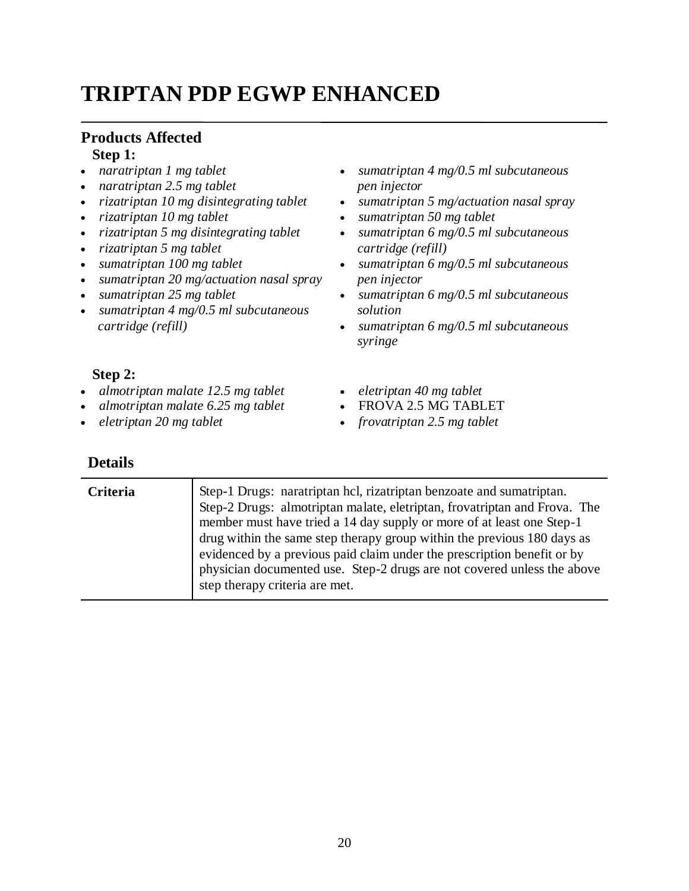# **TRIPTAN PDP EGWP ENHANCED**

#### **Products Affected Step 1:**

- *naratriptan 1 mg tablet*
- *naratriptan 2.5 mg tablet*
- *rizatriptan 10 mg disintegrating tablet*
- *rizatriptan 10 mg tablet*
- *rizatriptan 5 mg disintegrating tablet*
- *rizatriptan 5 mg tablet*
- *sumatriptan 100 mg tablet*
- *sumatriptan 20 mg/actuation nasal spray*
- *sumatriptan 25 mg tablet*
- *sumatriptan 4 mg/0.5 ml subcutaneous cartridge (refill)*
- *sumatriptan 4 mg/0.5 ml subcutaneous pen injector*
- *sumatriptan 5 mg/actuation nasal spray*
- *sumatriptan 50 mg tablet*
- *sumatriptan 6 mg/0.5 ml subcutaneous cartridge (refill)*
- *sumatriptan 6 mg/0.5 ml subcutaneous pen injector*
- *sumatriptan 6 mg/0.5 ml subcutaneous solution*
- *sumatriptan 6 mg/0.5 ml subcutaneous syringe*

#### **Step 2:**

- *almotriptan malate 12.5 mg tablet*
- *almotriptan malate 6.25 mg tablet*
- *eletriptan 20 mg tablet*

- *eletriptan 40 mg tablet*
- FROVA 2.5 MG TABLET
- *frovatriptan 2.5 mg tablet*

| <b>Criteria</b> | Step-1 Drugs: naratriptan hcl, rizatriptan benzoate and sumatriptan.<br>Step-2 Drugs: almotriptan malate, eletriptan, frovatriptan and Frova. The<br>member must have tried a 14 day supply or more of at least one Step-1<br>drug within the same step therapy group within the previous 180 days as |
|-----------------|-------------------------------------------------------------------------------------------------------------------------------------------------------------------------------------------------------------------------------------------------------------------------------------------------------|
|                 | evidenced by a previous paid claim under the prescription benefit or by<br>physician documented use. Step-2 drugs are not covered unless the above<br>step therapy criteria are met.                                                                                                                  |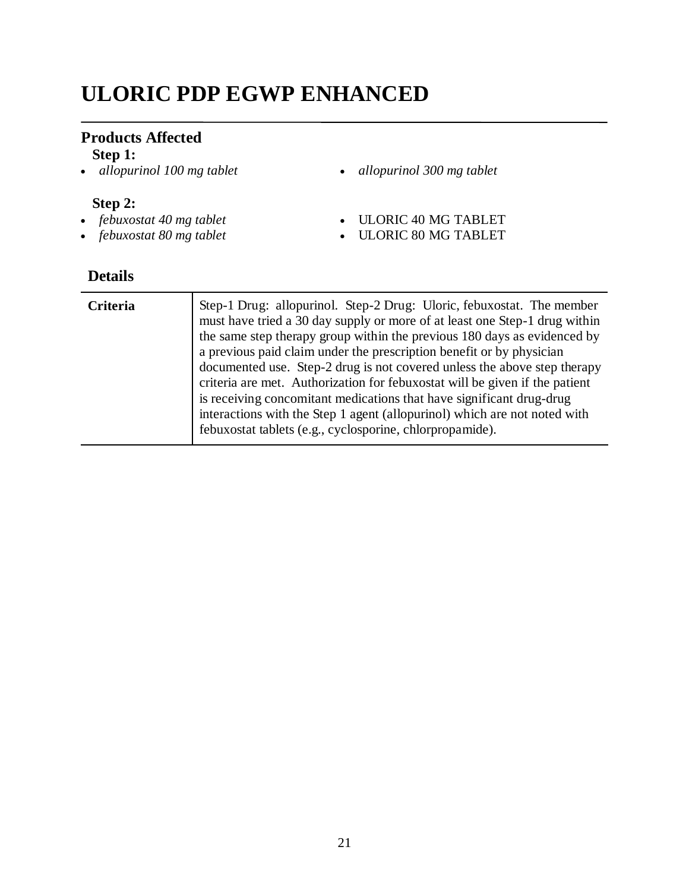# **ULORIC PDP EGWP ENHANCED**

## **Products Affected**

**Step 1:**<br>• *allopurinol 100 mg tablet* 

#### **Step 2:**

- *febuxostat 40 mg tablet*
- *febuxostat 80 mg tablet*
- *allopurinol 100 mg tablet allopurinol 300 mg tablet*
- ULORIC 40 MG TABLET
- ULORIC 80 MG TABLET

| Criteria | Step-1 Drug: allopurinol. Step-2 Drug: Uloric, febuxostat. The member<br>must have tried a 30 day supply or more of at least one Step-1 drug within<br>the same step therapy group within the previous 180 days as evidenced by<br>a previous paid claim under the prescription benefit or by physician<br>documented use. Step-2 drug is not covered unless the above step therapy<br>criteria are met. Authorization for febuxostat will be given if the patient<br>is receiving concomitant medications that have significant drug-drug<br>interactions with the Step 1 agent (allopurinol) which are not noted with<br>febuxostat tablets (e.g., cyclosporine, chlorpropamide). |
|----------|-------------------------------------------------------------------------------------------------------------------------------------------------------------------------------------------------------------------------------------------------------------------------------------------------------------------------------------------------------------------------------------------------------------------------------------------------------------------------------------------------------------------------------------------------------------------------------------------------------------------------------------------------------------------------------------|
|          |                                                                                                                                                                                                                                                                                                                                                                                                                                                                                                                                                                                                                                                                                     |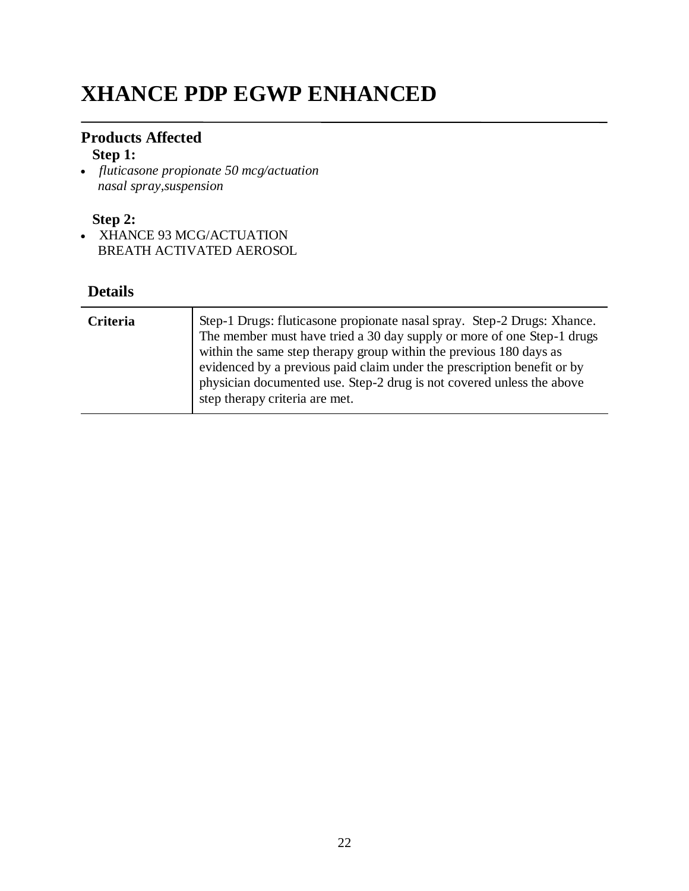# **XHANCE PDP EGWP ENHANCED**

### **Products Affected**

### **Step 1:**

 *fluticasone propionate 50 mcg/actuation nasal spray,suspension*

### **Step 2:**

• XHANCE 93 MCG/ACTUATION BREATH ACTIVATED AEROSOL

| <b>Criteria</b> | Step-1 Drugs: fluticasone propionate nasal spray. Step-2 Drugs: Xhance.<br>The member must have tried a 30 day supply or more of one Step-1 drugs<br>within the same step therapy group within the previous 180 days as<br>evidenced by a previous paid claim under the prescription benefit or by<br>physician documented use. Step-2 drug is not covered unless the above<br>step therapy criteria are met. |
|-----------------|---------------------------------------------------------------------------------------------------------------------------------------------------------------------------------------------------------------------------------------------------------------------------------------------------------------------------------------------------------------------------------------------------------------|
|-----------------|---------------------------------------------------------------------------------------------------------------------------------------------------------------------------------------------------------------------------------------------------------------------------------------------------------------------------------------------------------------------------------------------------------------|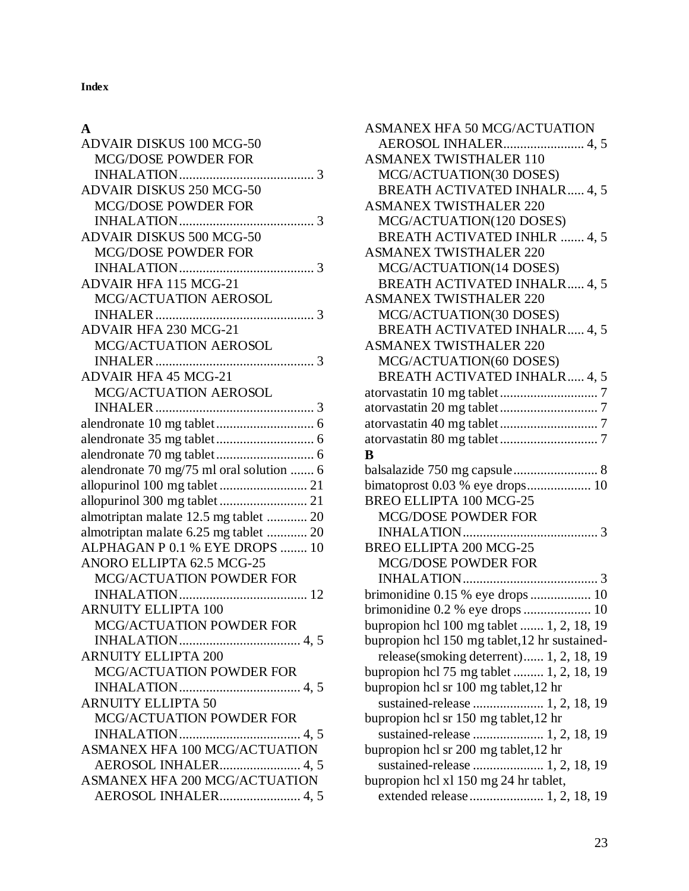**Index**

### **A**

| <b>ADVAIR DISKUS 100 MCG-50</b>          |
|------------------------------------------|
| <b>MCG/DOSE POWDER FOR</b>               |
|                                          |
| ADVAIR DISKUS 250 MCG-50                 |
| <b>MCG/DOSE POWDER FOR</b>               |
|                                          |
| <b>ADVAIR DISKUS 500 MCG-50</b>          |
| <b>MCG/DOSE POWDER FOR</b>               |
|                                          |
| ADVAIR HFA 115 MCG-21                    |
| MCG/ACTUATION AEROSOL                    |
|                                          |
| ADVAIR HFA 230 MCG-21                    |
| MCG/ACTUATION AEROSOL                    |
|                                          |
| <b>ADVAIR HFA 45 MCG-21</b>              |
| <b>MCG/ACTUATION AEROSOL</b>             |
|                                          |
|                                          |
|                                          |
|                                          |
| alendronate 70 mg/75 ml oral solution  6 |
|                                          |
|                                          |
| almotriptan malate 12.5 mg tablet  20    |
| almotriptan malate 6.25 mg tablet  20    |
| ALPHAGAN P 0.1 % EYE DROPS  10           |
| ANORO ELLIPTA 62.5 MCG-25                |
| <b>MCG/ACTUATION POWDER FOR</b>          |
|                                          |
| <b>ARNUITY ELLIPTA 100</b>               |
| MCG/ACTUATION POWDER FOR                 |
| <b>ARNUITY ELLIPTA 200</b>               |
| <b>MCG/ACTUATION POWDER FOR</b>          |
|                                          |
| <b>ARNUITY ELLIPTA 50</b>                |
| <b>MCG/ACTUATION POWDER FOR</b>          |
|                                          |
| <b>ASMANEX HFA 100 MCG/ACTUATION</b>     |
| AEROSOL INHALER 4, 5                     |
| <b>ASMANEX HFA 200 MCG/ACTUATION</b>     |
| AEROSOL INHALER 4, 5                     |
|                                          |

| ASMANEX HFA 50 MCG/ACTUATION                                                      |
|-----------------------------------------------------------------------------------|
| AEROSOL INHALER 4, 5                                                              |
| <b>ASMANEX TWISTHALER 110</b>                                                     |
| MCG/ACTUATION(30 DOSES)                                                           |
| <b>BREATH ACTIVATED INHALR 4, 5</b>                                               |
| <b>ASMANEX TWISTHALER 220</b>                                                     |
| MCG/ACTUATION(120 DOSES)                                                          |
| <b>BREATH ACTIVATED INHLR  4, 5</b>                                               |
| <b>ASMANEX TWISTHALER 220</b>                                                     |
| MCG/ACTUATION(14 DOSES)                                                           |
| <b>BREATH ACTIVATED INHALR 4, 5</b>                                               |
| <b>ASMANEX TWISTHALER 220</b>                                                     |
| MCG/ACTUATION(30 DOSES)                                                           |
| <b>BREATH ACTIVATED INHALR 4, 5</b>                                               |
| <b>ASMANEX TWISTHALER 220</b>                                                     |
| MCG/ACTUATION(60 DOSES)                                                           |
| BREATH ACTIVATED INHALR 4, 5                                                      |
|                                                                                   |
|                                                                                   |
|                                                                                   |
|                                                                                   |
| B                                                                                 |
| balsalazide 750 mg capsule 8                                                      |
|                                                                                   |
| BREO ELLIPTA 100 MCG-25                                                           |
| <b>MCG/DOSE POWDER FOR</b>                                                        |
|                                                                                   |
|                                                                                   |
| BREO ELLIPTA 200 MCG-25                                                           |
| <b>MCG/DOSE POWDER FOR</b>                                                        |
|                                                                                   |
|                                                                                   |
| brimonidine 0.15 % eye drops  10<br>brimonidine 0.2 % eye drops  10               |
|                                                                                   |
| bupropion hcl 100 mg tablet  1, 2, 18, 19                                         |
| bupropion hcl 150 mg tablet, 12 hr sustained-                                     |
| release(smoking deterrent) 1, 2, 18, 19                                           |
| bupropion hcl 75 mg tablet  1, 2, 18, 19<br>bupropion hcl sr 100 mg tablet, 12 hr |
|                                                                                   |
| sustained-release  1, 2, 18, 19                                                   |
| bupropion hcl sr 150 mg tablet, 12 hr                                             |
| sustained-release  1, 2, 18, 19                                                   |
| bupropion hcl sr 200 mg tablet, 12 hr                                             |
| bupropion hcl xl 150 mg 24 hr tablet,                                             |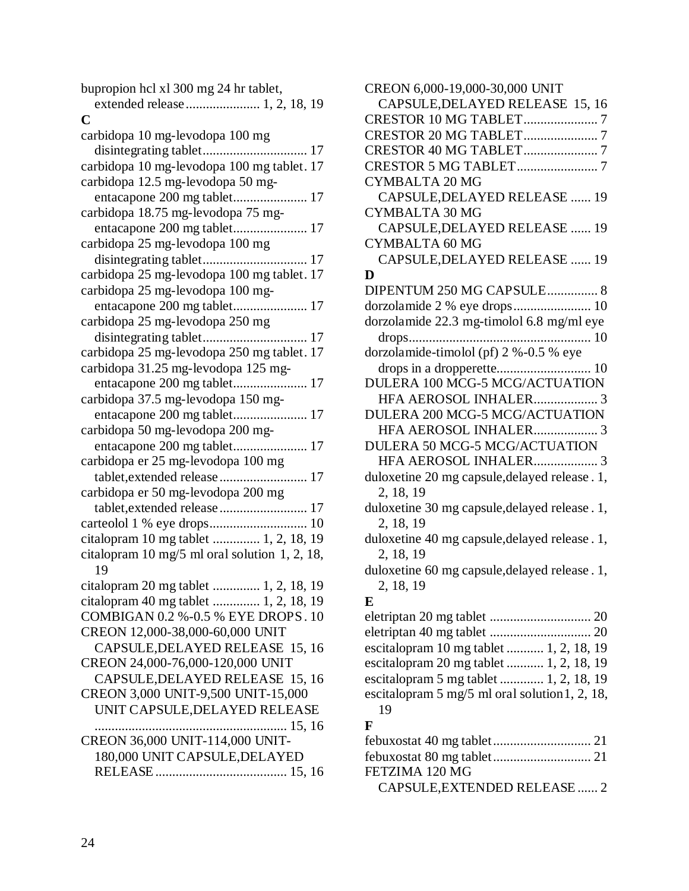| bupropion hcl xl 300 mg 24 hr tablet,         |
|-----------------------------------------------|
|                                               |
| C                                             |
| carbidopa 10 mg-levodopa 100 mg               |
|                                               |
| carbidopa 10 mg-levodopa 100 mg tablet. 17    |
| carbidopa 12.5 mg-levodopa 50 mg-             |
|                                               |
| carbidopa 18.75 mg-levodopa 75 mg-            |
| entacapone 200 mg tablet 17                   |
| carbidopa 25 mg-levodopa 100 mg               |
|                                               |
| carbidopa 25 mg-levodopa 100 mg tablet. 17    |
| carbidopa 25 mg-levodopa 100 mg-              |
| entacapone 200 mg tablet 17                   |
| carbidopa 25 mg-levodopa 250 mg               |
|                                               |
| carbidopa 25 mg-levodopa 250 mg tablet. 17    |
| carbidopa 31.25 mg-levodopa 125 mg-           |
|                                               |
| carbidopa 37.5 mg-levodopa 150 mg-            |
|                                               |
| carbidopa 50 mg-levodopa 200 mg-              |
| entacapone 200 mg tablet 17                   |
| carbidopa er 25 mg-levodopa 100 mg            |
| tablet, extended release 17                   |
| carbidopa er 50 mg-levodopa 200 mg            |
|                                               |
|                                               |
| citalopram 10 mg tablet  1, 2, 18, 19         |
| citalopram 10 mg/5 ml oral solution 1, 2, 18, |
| 19                                            |
| citalopram 20 mg tablet  1, 2, 18, 19         |
| citalopram 40 mg tablet  1, 2, 18, 19         |
| COMBIGAN 0.2 %-0.5 % EYE DROPS. 10            |
| CREON 12,000-38,000-60,000 UNIT               |
| CAPSULE, DELAYED RELEASE 15, 16               |
| CREON 24,000-76,000-120,000 UNIT              |
| CAPSULE, DELAYED RELEASE 15, 16               |
| CREON 3,000 UNIT-9,500 UNIT-15,000            |
| UNIT CAPSULE, DELAYED RELEASE                 |
|                                               |
| CREON 36,000 UNIT-114,000 UNIT-               |
| 180,000 UNIT CAPSULE, DELAYED                 |
|                                               |
|                                               |

| CREON 6,000-19,000-30,000 UNIT                              |
|-------------------------------------------------------------|
| CAPSULE, DELAYED RELEASE 15, 16                             |
| CRESTOR 10 MG TABLET7                                       |
|                                                             |
| CRESTOR 40 MG TABLET7                                       |
|                                                             |
| <b>CYMBALTA 20 MG</b>                                       |
| CAPSULE, DELAYED RELEASE  19                                |
| <b>CYMBALTA 30 MG</b>                                       |
| CAPSULE, DELAYED RELEASE  19                                |
| <b>CYMBALTA 60 MG</b>                                       |
| CAPSULE, DELAYED RELEASE  19                                |
| D                                                           |
| DIPENTUM 250 MG CAPSULE 8                                   |
| dorzolamide 2 % eye drops 10                                |
| dorzolamide 22.3 mg-timolol 6.8 mg/ml eye                   |
|                                                             |
| dorzolamide-timolol (pf) 2 %-0.5 % eye                      |
|                                                             |
| DULERA 100 MCG-5 MCG/ACTUATION                              |
| HFA AEROSOL INHALER 3                                       |
| DULERA 200 MCG-5 MCG/ACTUATION                              |
| HFA AEROSOL INHALER 3                                       |
| DULERA 50 MCG-5 MCG/ACTUATION                               |
| HFA AEROSOL INHALER 3                                       |
| duloxetine 20 mg capsule, delayed release . 1,<br>2, 18, 19 |
| duloxetine 30 mg capsule, delayed release. 1,               |
| 2, 18, 19                                                   |
| duloxetine 40 mg capsule, delayed release. 1,               |
| 2, 18, 19                                                   |
| duloxetine 60 mg capsule, delayed release. 1,               |
| 2, 18, 19                                                   |
| E                                                           |
|                                                             |
|                                                             |
| escitalopram 10 mg tablet  1, 2, 18, 19                     |
| escitalopram 20 mg tablet  1, 2, 18, 19                     |
| escitalopram 5 mg tablet  1, 2, 18, 19                      |
| escitalopram 5 mg/5 ml oral solution 1, 2, 18,              |
| 19                                                          |
| F                                                           |
|                                                             |
|                                                             |
| FETZIMA 120 MG                                              |

CAPSULE,EXTENDED RELEASE ...... 2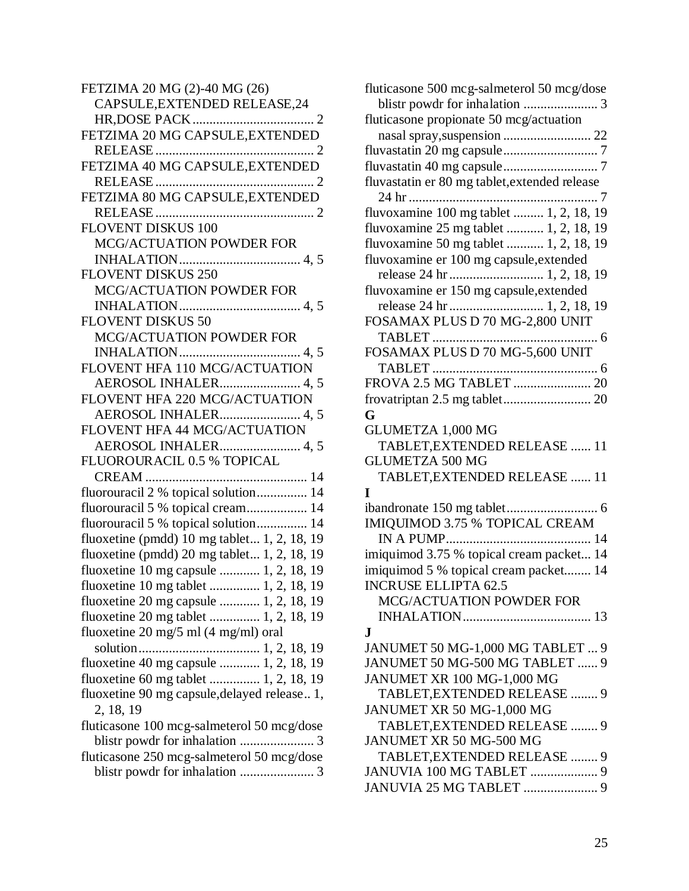| FETZIMA 20 MG (2)-40 MG (26)                  |
|-----------------------------------------------|
| CAPSULE, EXTENDED RELEASE, 24                 |
|                                               |
| FETZIMA 20 MG CAPSULE, EXTENDED               |
|                                               |
| FETZIMA 40 MG CAPSULE, EXTENDED               |
|                                               |
| FETZIMA 80 MG CAPSULE, EXTENDED               |
|                                               |
| <b>FLOVENT DISKUS 100</b>                     |
| MCG/ACTUATION POWDER FOR                      |
|                                               |
| <b>FLOVENT DISKUS 250</b>                     |
| MCG/ACTUATION POWDER FOR                      |
|                                               |
| <b>FLOVENT DISKUS 50</b>                      |
| MCG/ACTUATION POWDER FOR                      |
|                                               |
| FLOVENT HFA 110 MCG/ACTUATION                 |
| AEROSOL INHALER 4,5                           |
| FLOVENT HFA 220 MCG/ACTUATION                 |
| AEROSOL INHALER 4, 5                          |
| FLOVENT HFA 44 MCG/ACTUATION                  |
| AEROSOL INHALER 4, 5                          |
| FLUOROURACIL 0.5 % TOPICAL                    |
| CREAM                                         |
| fluorouracil 2 % topical solution 14          |
| fluorouracil 5 % topical cream 14             |
| fluorouracil 5 % topical solution 14          |
| fluoxetine (pmdd) 10 mg tablet 1, 2, 18, 19   |
| fluoxetine (pmdd) $20$ mg tablet 1, 2, 18, 19 |
| fluoxetine 10 mg capsule  1, 2, 18, 19        |
| fluoxetine 10 mg tablet  1, 2, 18, 19         |
| fluoxetine 20 mg capsule  1, 2, 18, 19        |
| fluoxetine 20 mg tablet  1, 2, 18, 19         |
| fluoxetine 20 mg/5 ml (4 mg/ml) oral          |
|                                               |
| fluoxetine 40 mg capsule  1, 2, 18, 19        |
| fluoxetine 60 mg tablet  1, 2, 18, 19         |
| fluoxetine 90 mg capsule, delayed release 1,  |
| 2, 18, 19                                     |
| fluticasone 100 mcg-salmeterol 50 mcg/dose    |
|                                               |
| fluticasone 250 mcg-salmeterol 50 mcg/dose    |
|                                               |

| fluticasone 500 mcg-salmeterol 50 mcg/dose    |
|-----------------------------------------------|
|                                               |
| fluticasone propionate 50 mcg/actuation       |
| nasal spray, suspension  22                   |
|                                               |
|                                               |
| fluvastatin er 80 mg tablet, extended release |
|                                               |
| fluvoxamine 100 mg tablet  1, 2, 18, 19       |
| fluvoxamine 25 mg tablet  1, 2, 18, 19        |
| fluvoxamine 50 mg tablet  1, 2, 18, 19        |
| fluvoxamine er 100 mg capsule, extended       |
|                                               |
| fluvoxamine er 150 mg capsule, extended       |
|                                               |
| release 24 hr  1, 2, 18, 19                   |
| FOSAMAX PLUS D 70 MG-2,800 UNIT               |
|                                               |
| FOSAMAX PLUS D 70 MG-5,600 UNIT               |
|                                               |
| FROVA 2.5 MG TABLET  20                       |
|                                               |
| G                                             |
| GLUMETZA 1,000 MG                             |
| TABLET, EXTENDED RELEASE  11                  |
| <b>GLUMETZA 500 MG</b>                        |
| TABLET, EXTENDED RELEASE  11                  |
| T                                             |
|                                               |
| IMIQUIMOD 3.75 % TOPICAL CREAM                |
|                                               |
| imiquimod 3.75 % topical cream packet 14      |
| imiquimod 5 % topical cream packet 14         |
| <b>INCRUSE ELLIPTA 62.5</b>                   |
| <b>MCG/ACTUATION POWDER FOR</b>               |
|                                               |
| .T                                            |
| JANUMET 50 MG-1,000 MG TABLET  9              |
| JANUMET 50 MG-500 MG TABLET  9                |
| JANUMET XR 100 MG-1,000 MG                    |
| TABLET, EXTENDED RELEASE  9                   |
| JANUMET XR 50 MG-1,000 MG                     |
| TABLET, EXTENDED RELEASE  9                   |
| JANUMET XR 50 MG-500 MG                       |
| TABLET, EXTENDED RELEASE  9                   |
| JANUVIA 100 MG TABLET  9                      |
| JANUVIA 25 MG TABLET  9                       |
|                                               |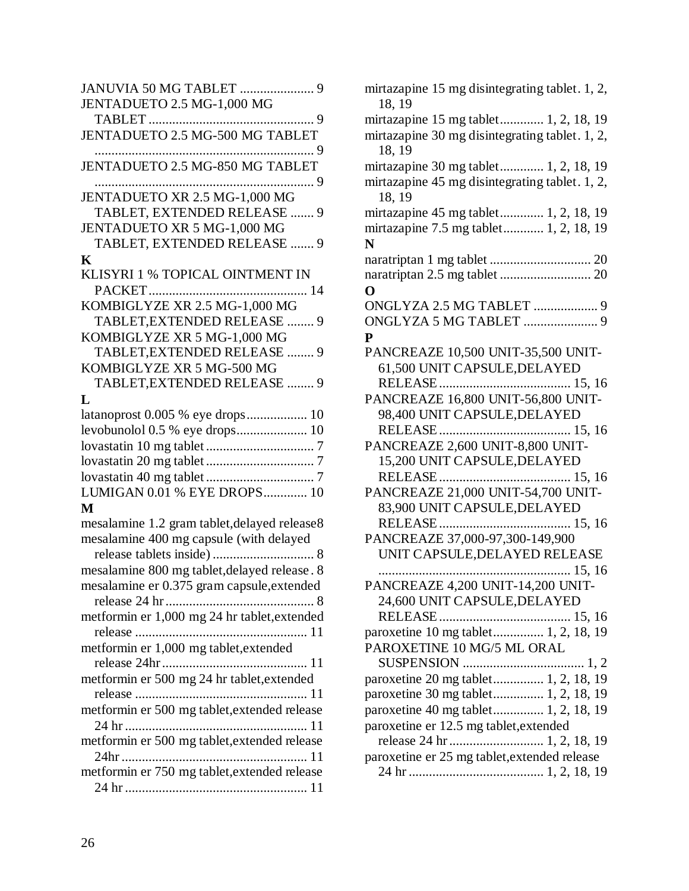| JENTADUETO 2.5 MG-1,000 MG                      |
|-------------------------------------------------|
| . 9                                             |
| JENTADUETO 2.5 MG-500 MG TABLET                 |
| JENTADUETO 2.5 MG-850 MG TABLET                 |
| . 9                                             |
| JENTADUETO XR 2.5 MG-1,000 MG                   |
| TABLET, EXTENDED RELEASE<br>9                   |
| JENTADUETO XR 5 MG-1,000 MG                     |
| TABLET, EXTENDED RELEASE  9                     |
| K                                               |
| KLISYRI 1 % TOPICAL OINTMENT IN<br>PACKET<br>14 |
| KOMBIGLYZE XR 2.5 MG-1,000 MG                   |
| TABLET, EXTENDED RELEASE<br>9                   |
| KOMBIGLYZE XR 5 MG-1,000 MG                     |
| TABLET, EXTENDED RELEASE  9                     |
| KOMBIGLYZE XR 5 MG-500 MG                       |
| TABLET, EXTENDED RELEASE  9                     |
| T.                                              |
| latanoprost 0.005 % eye drops 10                |
| levobunolol 0.5 % eye drops 10                  |
|                                                 |
|                                                 |
|                                                 |
| LUMIGAN 0.01 % EYE DROPS 10                     |
| M                                               |
| mesalamine 1.2 gram tablet, delayed release8    |
| mesalamine 400 mg capsule (with delayed         |
|                                                 |
| mesalamine 800 mg tablet, delayed release. 8    |
| mesalamine er 0.375 gram capsule, extended      |
|                                                 |
| metformin er 1,000 mg 24 hr tablet, extended    |
|                                                 |
| metformin er 1,000 mg tablet, extended          |
|                                                 |
| metformin er 500 mg 24 hr tablet, extended      |
|                                                 |
| metformin er 500 mg tablet, extended release    |
|                                                 |
| metformin er 500 mg tablet, extended release    |
|                                                 |
| metformin er 750 mg tablet, extended release    |
|                                                 |

| mirtazapine 15 mg disintegrating tablet. 1, 2,<br>18, 19 |
|----------------------------------------------------------|
| mirtazapine 15 mg tablet 1, 2, 18, 19                    |
| mirtazapine 30 mg disintegrating tablet. 1, 2,           |
| 18, 19                                                   |
| mirtazapine 30 mg tablet 1, 2, 18, 19                    |
| mirtazapine 45 mg disintegrating tablet. 1, 2,           |
| 18.19                                                    |
| mirtazapine 45 mg tablet 1, 2, 18, 19                    |
| mirtazapine 7.5 mg tablet 1, 2, 18, 19                   |
| N                                                        |
|                                                          |
|                                                          |
| O                                                        |
| ONGLYZA 2.5 MG TABLET  9                                 |
|                                                          |
| $\mathbf{P}$                                             |
| PANCREAZE 10,500 UNIT-35,500 UNIT-                       |
| 61,500 UNIT CAPSULE, DELAYED                             |
|                                                          |
| PANCREAZE 16,800 UNIT-56,800 UNIT-                       |
| 98,400 UNIT CAPSULE, DELAYED                             |
|                                                          |
| PANCREAZE 2,600 UNIT-8,800 UNIT-                         |
| 15,200 UNIT CAPSULE, DELAYED                             |
|                                                          |
| PANCREAZE 21,000 UNIT-54,700 UNIT-                       |
| 83,900 UNIT CAPSULE, DELAYED                             |
|                                                          |
| PANCREAZE 37,000-97,300-149,900                          |
| UNIT CAPSULE, DELAYED RELEASE                            |
|                                                          |
| PANCREAZE 4,200 UNIT-14,200 UNIT                         |
| 24,600 UNIT CAPSULE, DELAYED                             |
|                                                          |
| paroxetine 10 mg tablet 1, 2, 18, 19                     |
| PAROXETINE 10 MG/5 ML ORAL                               |
|                                                          |
| paroxetine 20 mg tablet 1, 2, 18, 19                     |
| paroxetine 30 mg tablet 1, 2, 18, 19                     |
| paroxetine 40 mg tablet 1, 2, 18, 19                     |
| paroxetine er 12.5 mg tablet, extended                   |
|                                                          |
| paroxetine er 25 mg tablet, extended release             |
|                                                          |
|                                                          |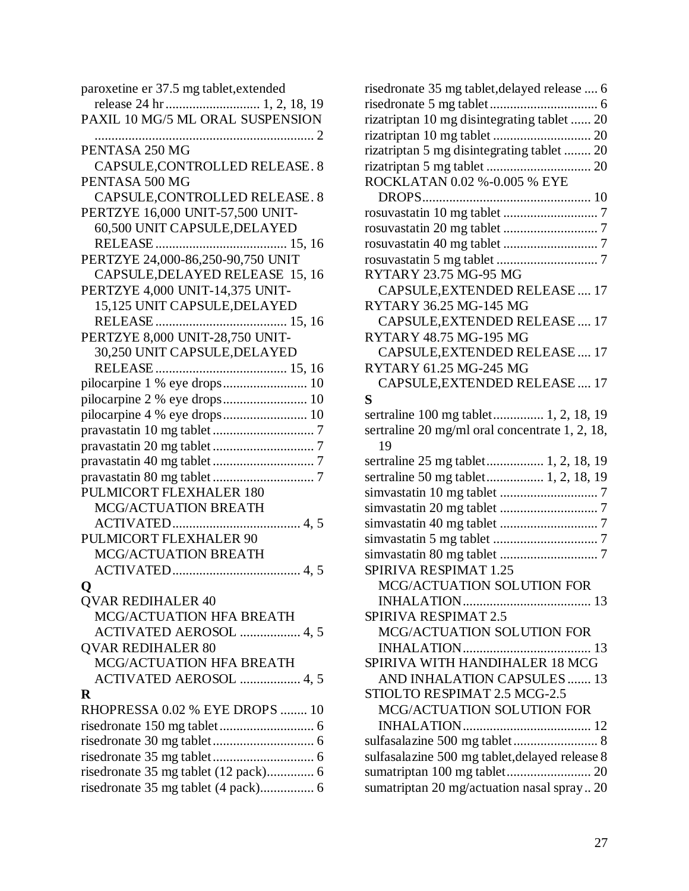| paroxetine er 37.5 mg tablet, extended |
|----------------------------------------|
|                                        |
| PAXIL 10 MG/5 ML ORAL SUSPENSION       |
|                                        |
| PENTASA 250 MG                         |
| CAPSULE, CONTROLLED RELEASE. 8         |
| PENTASA 500 MG                         |
| CAPSULE, CONTROLLED RELEASE. 8         |
|                                        |
| PERTZYE 16,000 UNIT-57,500 UNIT-       |
| 60,500 UNIT CAPSULE, DELAYED           |
|                                        |
| PERTZYE 24,000-86,250-90,750 UNIT      |
| CAPSULE, DELAYED RELEASE 15, 16        |
| PERTZYE 4,000 UNIT-14,375 UNIT-        |
| 15,125 UNIT CAPSULE, DELAYED           |
|                                        |
| PERTZYE 8,000 UNIT-28,750 UNIT-        |
| 30,250 UNIT CAPSULE, DELAYED           |
|                                        |
|                                        |
| pilocarpine 2 % eye drops 10           |
| pilocarpine 4 % eye drops 10           |
|                                        |
|                                        |
|                                        |
|                                        |
| PULMICORT FLEXHALER 180                |
| MCG/ACTUATION BREATH                   |
|                                        |
| PULMICORT FLEXHALER 90                 |
| MCG/ACTUATION BREATH                   |
|                                        |
|                                        |
| <b>QVAR REDIHALER 40</b>               |
| <b>MCG/ACTUATION HFA BREATH</b>        |
| ACTIVATED AEROSOL  4, 5                |
| <b>QVAR REDIHALER 80</b>               |
| MCG/ACTUATION HFA BREATH               |
|                                        |
| ACTIVATED AEROSOL  4, 5                |
| R                                      |
| RHOPRESSA 0.02 % EYE DROPS  10         |
|                                        |
|                                        |
|                                        |
|                                        |
| risedronate 35 mg tablet (4 pack) 6    |

| risedronate 35 mg tablet, delayed release  6   |
|------------------------------------------------|
|                                                |
| rizatriptan 10 mg disintegrating tablet  20    |
|                                                |
| rizatriptan 5 mg disintegrating tablet  20     |
|                                                |
| ROCKLATAN 0.02 %-0.005 % EYE                   |
|                                                |
|                                                |
|                                                |
|                                                |
|                                                |
| RYTARY 23.75 MG-95 MG                          |
| CAPSULE, EXTENDED RELEASE  17                  |
| RYTARY 36.25 MG-145 MG                         |
| CAPSULE, EXTENDED RELEASE 17                   |
| RYTARY 48.75 MG-195 MG                         |
| CAPSULE, EXTENDED RELEASE 17                   |
| RYTARY 61.25 MG-245 MG                         |
| CAPSULE, EXTENDED RELEASE  17                  |
| S                                              |
| sertraline 100 mg tablet 1, 2, 18, 19          |
| sertraline 20 mg/ml oral concentrate 1, 2, 18, |
| 19                                             |
| sertraline 25 mg tablet 1, 2, 18, 19           |
| sertraline 50 mg tablet 1, 2, 18, 19           |
|                                                |
|                                                |
|                                                |
|                                                |
|                                                |
| SPIRIVA RESPIMAT 1.25                          |
| MCG/ACTUATION SOLUTION FOR                     |
|                                                |
| SPIRIVA RESPIMAT 2.5                           |
| MCG/ACTUATION SOLUTION FOR                     |
|                                                |
| SPIRIVA WITH HANDIHALER 18 MCG                 |
| AND INHALATION CAPSULES 13                     |
| STIOLTO RESPIMAT 2.5 MCG-2.5                   |
| MCG/ACTUATION SOLUTION FOR                     |
|                                                |
| sulfasalazine 500 mg tablet 8                  |
| sulfasalazine 500 mg tablet, delayed release 8 |
| sumatriptan 100 mg tablet 20                   |
| sumatriptan 20 mg/actuation nasal spray 20     |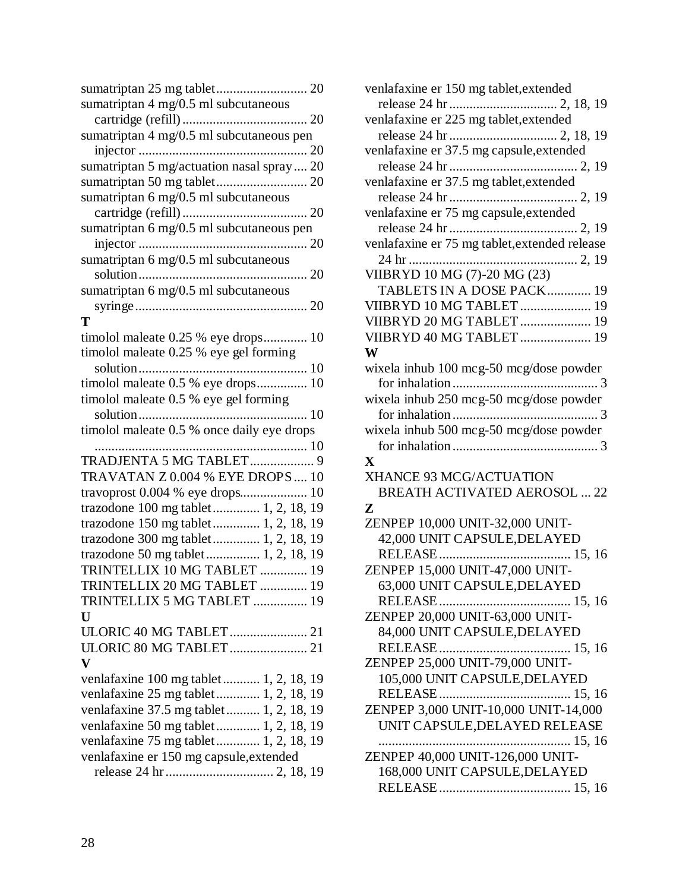| sumatriptan $4 \text{ mg}/0.5 \text{ ml}$ subcutaneous |
|--------------------------------------------------------|
|                                                        |
| sumatriptan 4 mg/0.5 ml subcutaneous pen               |
|                                                        |
| sumatriptan 5 mg/actuation nasal spray 20              |
|                                                        |
| sumatriptan $6 \text{ mg}/0.5 \text{ ml}$ subcutaneous |
|                                                        |
| sumatriptan 6 mg/0.5 ml subcutaneous pen               |
|                                                        |
| sumatriptan 6 mg/0.5 ml subcutaneous                   |
|                                                        |
| sumatriptan 6 mg/0.5 ml subcutaneous                   |
|                                                        |
| T                                                      |
| timolol maleate 0.25 % eye drops 10                    |
| timolol maleate 0.25 % eye gel forming                 |
|                                                        |
| timolol maleate 0.5 % eye drops 10                     |
| timolol maleate 0.5 % eye gel forming                  |
|                                                        |
| timolol maleate 0.5 % once daily eye drops             |
|                                                        |
|                                                        |
| TRADJENTA 5 MG TABLET 9                                |
| TRAVATAN Z 0.004 % EYE DROPS  10                       |
| travoprost 0.004 % eye drops 10                        |
| trazodone 100 mg tablet  1, 2, 18, 19                  |
| trazodone 150 mg tablet  1, 2, 18, 19                  |
| trazodone 300 mg tablet  1, 2, 18, 19                  |
| trazodone 50 mg tablet 1, 2, 18, 19                    |
| TRINTELLIX 10 MG TABLET  19                            |
| TRINTELLIX 20 MG TABLET  19                            |
| TRINTELLIX 5 MG TABLET  19                             |
| U                                                      |
|                                                        |
| ULORIC 80 MG TABLET 21                                 |
| $\mathbf{V}$                                           |
| venlafaxine 100 mg tablet 1, 2, 18, 19                 |
| venlafaxine 25 mg tablet  1, 2, 18, 19                 |
| venlafaxine 37.5 mg tablet 1, 2, 18, 19                |
| venlafaxine 50 mg tablet 1, 2, 18, 19                  |
| venlafaxine 75 mg tablet 1, 2, 18, 19                  |
| venlafaxine er 150 mg capsule, extended                |

| venlafaxine er 150 mg tablet, extended        |
|-----------------------------------------------|
|                                               |
| venlafaxine er 225 mg tablet, extended        |
|                                               |
|                                               |
|                                               |
| venlafaxine er 37.5 mg tablet, extended       |
|                                               |
| venlafaxine er 75 mg capsule, extended        |
|                                               |
| venlafaxine er 75 mg tablet, extended release |
|                                               |
| VIIBRYD 10 MG (7)-20 MG (23)                  |
| TABLETS IN A DOSE PACK 19                     |
| VIIBRYD 10 MG TABLET  19                      |
| VIIBRYD 20 MG TABLET  19                      |
| VIIBRYD 40 MG TABLET  19                      |
| W                                             |
| wixela inhub 100 mcg-50 mcg/dose powder       |
|                                               |
| wixela inhub 250 mcg-50 mcg/dose powder       |
|                                               |
| wixela inhub 500 mcg-50 mcg/dose powder       |
|                                               |
| $\mathbf X$                                   |
| XHANCE 93 MCG/ACTUATION                       |
| <b>BREATH ACTIVATED AEROSOL  22</b>           |
| Z                                             |
| ZENPEP 10,000 UNIT-32,000 UNIT-               |
| 42,000 UNIT CAPSULE, DELAYED                  |
|                                               |
| ZENPEP 15,000 UNIT-47,000 UNIT-               |
| 63,000 UNIT CAPSULE, DELAYED                  |
|                                               |
| ZENPEP 20,000 UNIT-63,000 UNIT-               |
| 84,000 UNIT CAPSULE, DELAYED                  |
|                                               |
| ZENPEP 25,000 UNIT-79,000 UNIT-               |
| 105,000 UNIT CAPSULE, DELAYED                 |
|                                               |
|                                               |
|                                               |
| ZENPEP 3,000 UNIT-10,000 UNIT-14,000          |
| UNIT CAPSULE, DELAYED RELEASE                 |
|                                               |
| ZENPEP 40,000 UNIT-126,000 UNIT-              |
| 168,000 UNIT CAPSULE, DELAYED                 |